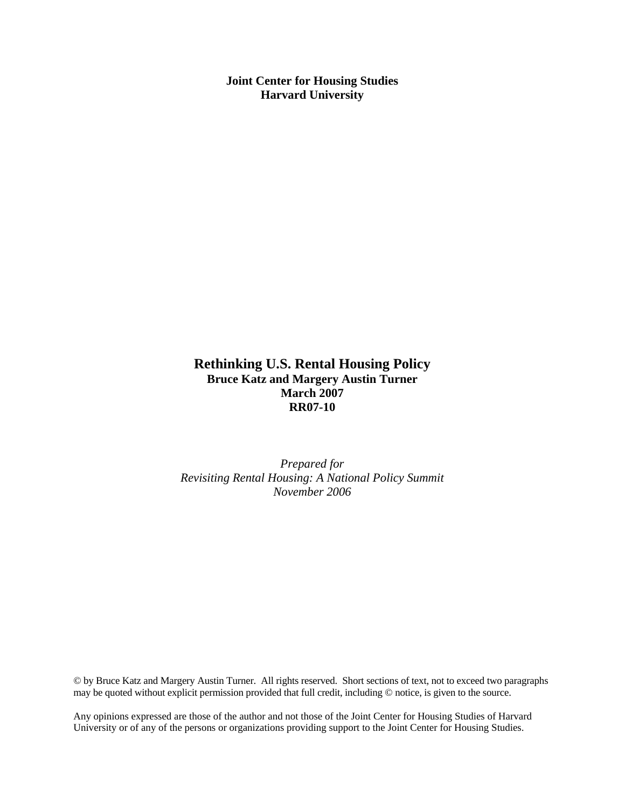**Joint Center for Housing Studies Harvard University** 

# **Rethinking U.S. Rental Housing Policy Bruce Katz and Margery Austin Turner March 2007 RR07-10**

*Prepared for Revisiting Rental Housing: A National Policy Summit November 2006*

© by Bruce Katz and Margery Austin Turner. All rights reserved. Short sections of text, not to exceed two paragraphs may be quoted without explicit permission provided that full credit, including © notice, is given to the source.

Any opinions expressed are those of the author and not those of the Joint Center for Housing Studies of Harvard University or of any of the persons or organizations providing support to the Joint Center for Housing Studies.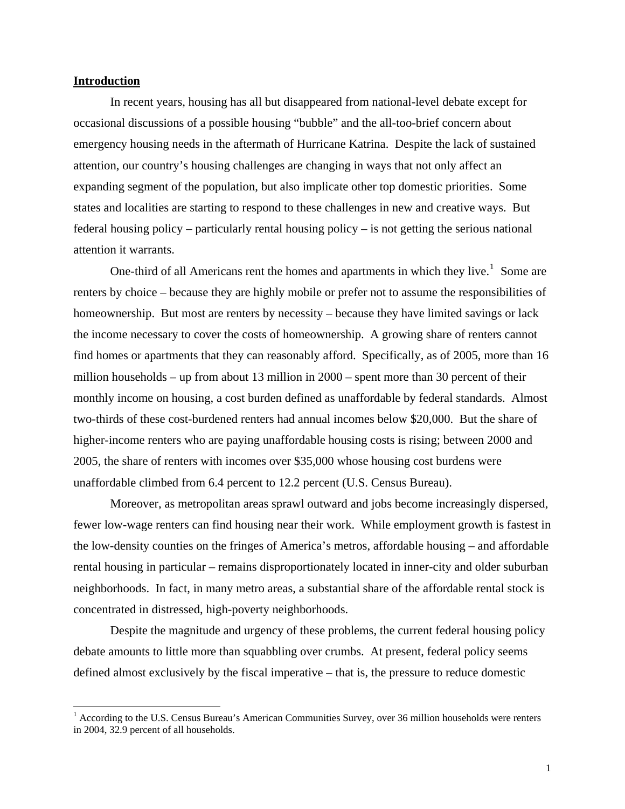#### **Introduction**

In recent years, housing has all but disappeared from national-level debate except for occasional discussions of a possible housing "bubble" and the all-too-brief concern about emergency housing needs in the aftermath of Hurricane Katrina. Despite the lack of sustained attention, our country's housing challenges are changing in ways that not only affect an expanding segment of the population, but also implicate other top domestic priorities. Some states and localities are starting to respond to these challenges in new and creative ways. But federal housing policy – particularly rental housing policy – is not getting the serious national attention it warrants.

One-third of all Americans rent the homes and apartments in which they live.<sup>[1](#page-2-0)</sup> Some are renters by choice – because they are highly mobile or prefer not to assume the responsibilities of homeownership. But most are renters by necessity – because they have limited savings or lack the income necessary to cover the costs of homeownership. A growing share of renters cannot find homes or apartments that they can reasonably afford. Specifically, as of 2005, more than 16 million households – up from about 13 million in 2000 – spent more than 30 percent of their monthly income on housing, a cost burden defined as unaffordable by federal standards. Almost two-thirds of these cost-burdened renters had annual incomes below \$20,000. But the share of higher-income renters who are paying unaffordable housing costs is rising; between 2000 and 2005, the share of renters with incomes over \$35,000 whose housing cost burdens were unaffordable climbed from 6.4 percent to 12.2 percent (U.S. Census Bureau).

Moreover, as metropolitan areas sprawl outward and jobs become increasingly dispersed, fewer low-wage renters can find housing near their work. While employment growth is fastest in the low-density counties on the fringes of America's metros, affordable housing – and affordable rental housing in particular – remains disproportionately located in inner-city and older suburban neighborhoods. In fact, in many metro areas, a substantial share of the affordable rental stock is concentrated in distressed, high-poverty neighborhoods.

Despite the magnitude and urgency of these problems, the current federal housing policy debate amounts to little more than squabbling over crumbs. At present, federal policy seems defined almost exclusively by the fiscal imperative – that is, the pressure to reduce domestic

<span id="page-2-0"></span><sup>&</sup>lt;sup>1</sup> According to the U.S. Census Bureau's American Communities Survey, over 36 million households were renters in 2004, 32.9 percent of all households.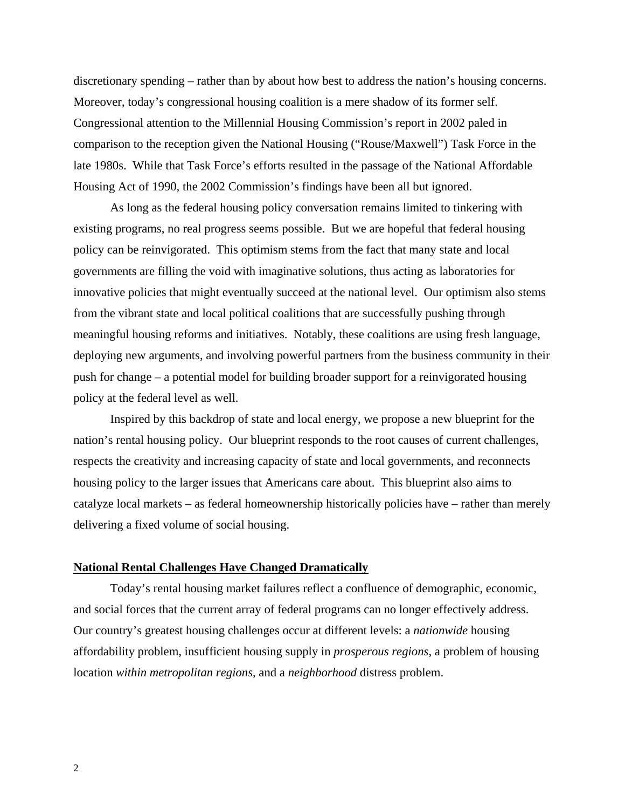discretionary spending – rather than by about how best to address the nation's housing concerns. Moreover, today's congressional housing coalition is a mere shadow of its former self. Congressional attention to the Millennial Housing Commission's report in 2002 paled in comparison to the reception given the National Housing ("Rouse/Maxwell") Task Force in the late 1980s. While that Task Force's efforts resulted in the passage of the National Affordable Housing Act of 1990, the 2002 Commission's findings have been all but ignored.

As long as the federal housing policy conversation remains limited to tinkering with existing programs, no real progress seems possible. But we are hopeful that federal housing policy can be reinvigorated. This optimism stems from the fact that many state and local governments are filling the void with imaginative solutions, thus acting as laboratories for innovative policies that might eventually succeed at the national level. Our optimism also stems from the vibrant state and local political coalitions that are successfully pushing through meaningful housing reforms and initiatives. Notably, these coalitions are using fresh language, deploying new arguments, and involving powerful partners from the business community in their push for change – a potential model for building broader support for a reinvigorated housing policy at the federal level as well.

Inspired by this backdrop of state and local energy, we propose a new blueprint for the nation's rental housing policy. Our blueprint responds to the root causes of current challenges, respects the creativity and increasing capacity of state and local governments, and reconnects housing policy to the larger issues that Americans care about. This blueprint also aims to catalyze local markets – as federal homeownership historically policies have – rather than merely delivering a fixed volume of social housing.

## **National Rental Challenges Have Changed Dramatically**

Today's rental housing market failures reflect a confluence of demographic, economic, and social forces that the current array of federal programs can no longer effectively address. Our country's greatest housing challenges occur at different levels: a *nationwide* housing affordability problem, insufficient housing supply in *prosperous regions*, a problem of housing location *within metropolitan regions*, and a *neighborhood* distress problem.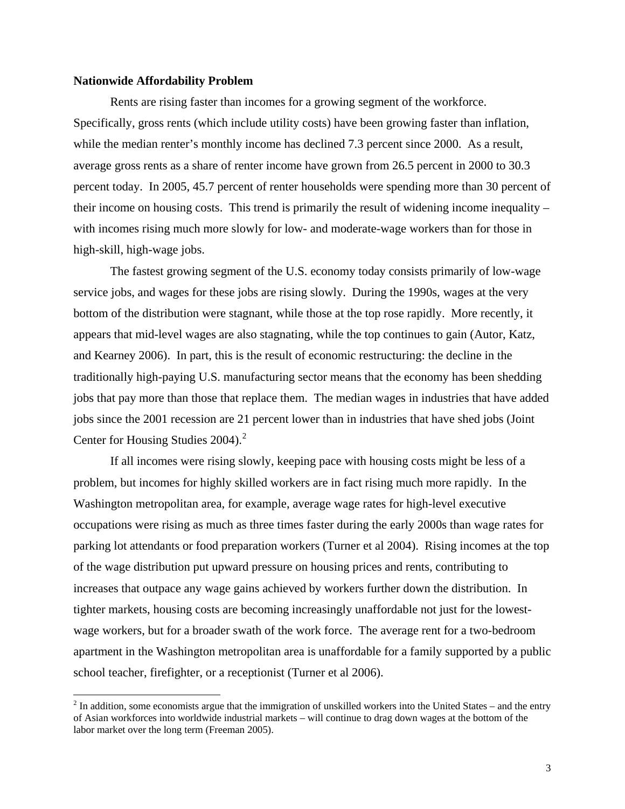## **Nationwide Affordability Problem**

Rents are rising faster than incomes for a growing segment of the workforce. Specifically, gross rents (which include utility costs) have been growing faster than inflation, while the median renter's monthly income has declined 7.3 percent since 2000. As a result, average gross rents as a share of renter income have grown from 26.5 percent in 2000 to 30.3 percent today. In 2005, 45.7 percent of renter households were spending more than 30 percent of their income on housing costs. This trend is primarily the result of widening income inequality – with incomes rising much more slowly for low- and moderate-wage workers than for those in high-skill, high-wage jobs.

The fastest growing segment of the U.S. economy today consists primarily of low-wage service jobs, and wages for these jobs are rising slowly. During the 1990s, wages at the very bottom of the distribution were stagnant, while those at the top rose rapidly. More recently, it appears that mid-level wages are also stagnating, while the top continues to gain (Autor, Katz, and Kearney 2006). In part, this is the result of economic restructuring: the decline in the traditionally high-paying U.S. manufacturing sector means that the economy has been shedding jobs that pay more than those that replace them. The median wages in industries that have added jobs since the 2001 recession are 21 percent lower than in industries that have shed jobs (Joint Center for Housing Studies [2](#page-4-0)004). $^{2}$ 

If all incomes were rising slowly, keeping pace with housing costs might be less of a problem, but incomes for highly skilled workers are in fact rising much more rapidly. In the Washington metropolitan area, for example, average wage rates for high-level executive occupations were rising as much as three times faster during the early 2000s than wage rates for parking lot attendants or food preparation workers (Turner et al 2004). Rising incomes at the top of the wage distribution put upward pressure on housing prices and rents, contributing to increases that outpace any wage gains achieved by workers further down the distribution. In tighter markets, housing costs are becoming increasingly unaffordable not just for the lowestwage workers, but for a broader swath of the work force. The average rent for a two-bedroom apartment in the Washington metropolitan area is unaffordable for a family supported by a public school teacher, firefighter, or a receptionist (Turner et al 2006).

<span id="page-4-0"></span><sup>&</sup>lt;sup>2</sup> In addition, some economists argue that the immigration of unskilled workers into the United States – and the entry of Asian workforces into worldwide industrial markets – will continue to drag down wages at the bottom of the labor market over the long term (Freeman 2005).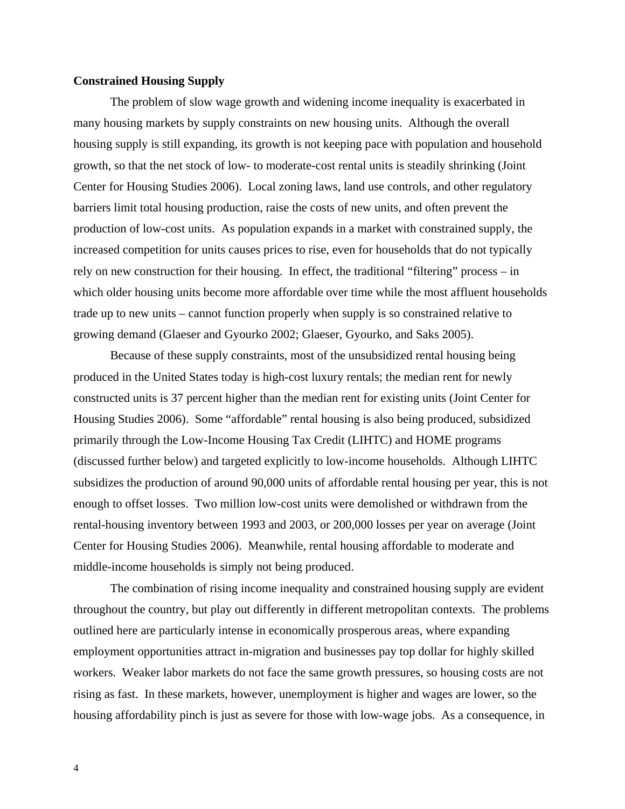#### **Constrained Housing Supply**

The problem of slow wage growth and widening income inequality is exacerbated in many housing markets by supply constraints on new housing units. Although the overall housing supply is still expanding, its growth is not keeping pace with population and household growth, so that the net stock of low- to moderate-cost rental units is steadily shrinking (Joint Center for Housing Studies 2006). Local zoning laws, land use controls, and other regulatory barriers limit total housing production, raise the costs of new units, and often prevent the production of low-cost units. As population expands in a market with constrained supply, the increased competition for units causes prices to rise, even for households that do not typically rely on new construction for their housing. In effect, the traditional "filtering" process – in which older housing units become more affordable over time while the most affluent households trade up to new units – cannot function properly when supply is so constrained relative to growing demand (Glaeser and Gyourko 2002; Glaeser, Gyourko, and Saks 2005).

Because of these supply constraints, most of the unsubsidized rental housing being produced in the United States today is high-cost luxury rentals; the median rent for newly constructed units is 37 percent higher than the median rent for existing units (Joint Center for Housing Studies 2006). Some "affordable" rental housing is also being produced, subsidized primarily through the Low-Income Housing Tax Credit (LIHTC) and HOME programs (discussed further below) and targeted explicitly to low-income households. Although LIHTC subsidizes the production of around 90,000 units of affordable rental housing per year, this is not enough to offset losses. Two million low-cost units were demolished or withdrawn from the rental-housing inventory between 1993 and 2003, or 200,000 losses per year on average (Joint Center for Housing Studies 2006). Meanwhile, rental housing affordable to moderate and middle-income households is simply not being produced.

The combination of rising income inequality and constrained housing supply are evident throughout the country, but play out differently in different metropolitan contexts. The problems outlined here are particularly intense in economically prosperous areas, where expanding employment opportunities attract in-migration and businesses pay top dollar for highly skilled workers. Weaker labor markets do not face the same growth pressures, so housing costs are not rising as fast. In these markets, however, unemployment is higher and wages are lower, so the housing affordability pinch is just as severe for those with low-wage jobs. As a consequence, in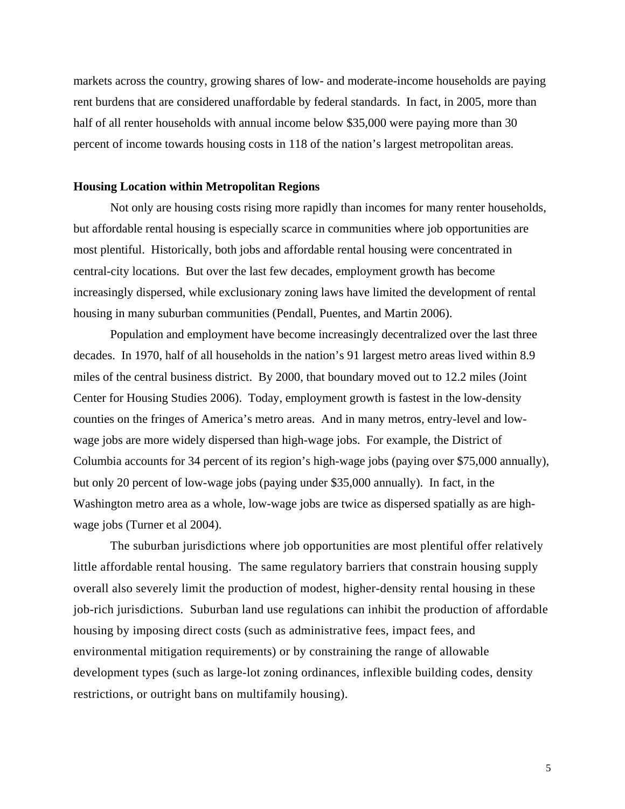markets across the country, growing shares of low- and moderate-income households are paying rent burdens that are considered unaffordable by federal standards. In fact, in 2005, more than half of all renter households with annual income below \$35,000 were paying more than 30 percent of income towards housing costs in 118 of the nation's largest metropolitan areas.

## **Housing Location within Metropolitan Regions**

Not only are housing costs rising more rapidly than incomes for many renter households, but affordable rental housing is especially scarce in communities where job opportunities are most plentiful. Historically, both jobs and affordable rental housing were concentrated in central-city locations. But over the last few decades, employment growth has become increasingly dispersed, while exclusionary zoning laws have limited the development of rental housing in many suburban communities (Pendall, Puentes, and Martin 2006).

Population and employment have become increasingly decentralized over the last three decades. In 1970, half of all households in the nation's 91 largest metro areas lived within 8.9 miles of the central business district. By 2000, that boundary moved out to 12.2 miles (Joint Center for Housing Studies 2006). Today, employment growth is fastest in the low-density counties on the fringes of America's metro areas. And in many metros, entry-level and lowwage jobs are more widely dispersed than high-wage jobs. For example, the District of Columbia accounts for 34 percent of its region's high-wage jobs (paying over \$75,000 annually), but only 20 percent of low-wage jobs (paying under \$35,000 annually). In fact, in the Washington metro area as a whole, low-wage jobs are twice as dispersed spatially as are highwage jobs (Turner et al 2004).

The suburban jurisdictions where job opportunities are most plentiful offer relatively little affordable rental housing. The same regulatory barriers that constrain housing supply overall also severely limit the production of modest, higher-density rental housing in these job-rich jurisdictions. Suburban land use regulations can inhibit the production of affordable housing by imposing direct costs (such as administrative fees, impact fees, and environmental mitigation requirements) or by constraining the range of allowable development types (such as large-lot zoning ordinances, inflexible building codes, density restrictions, or outright bans on multifamily housing).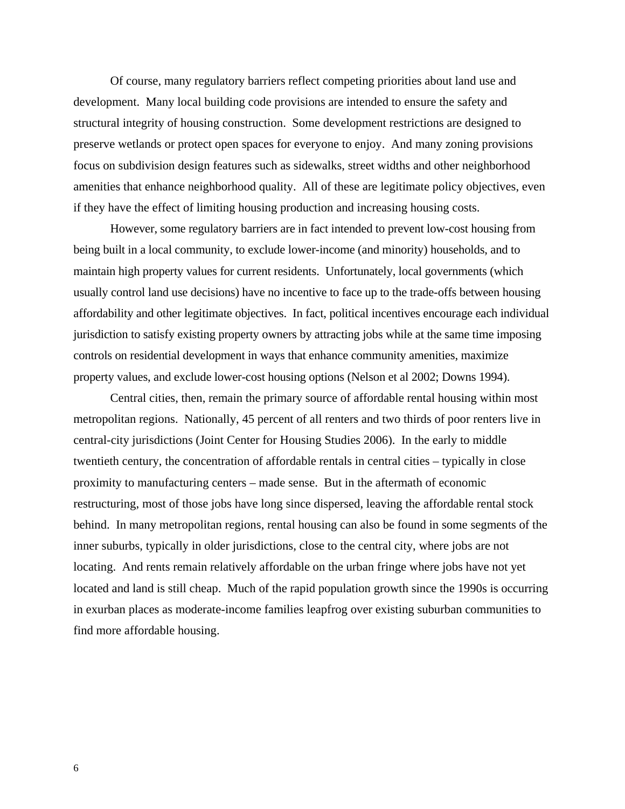Of course, many regulatory barriers reflect competing priorities about land use and development. Many local building code provisions are intended to ensure the safety and structural integrity of housing construction. Some development restrictions are designed to preserve wetlands or protect open spaces for everyone to enjoy. And many zoning provisions focus on subdivision design features such as sidewalks, street widths and other neighborhood amenities that enhance neighborhood quality. All of these are legitimate policy objectives, even if they have the effect of limiting housing production and increasing housing costs.

However, some regulatory barriers are in fact intended to prevent low-cost housing from being built in a local community, to exclude lower-income (and minority) households, and to maintain high property values for current residents. Unfortunately, local governments (which usually control land use decisions) have no incentive to face up to the trade-offs between housing affordability and other legitimate objectives. In fact, political incentives encourage each individual jurisdiction to satisfy existing property owners by attracting jobs while at the same time imposing controls on residential development in ways that enhance community amenities, maximize property values, and exclude lower-cost housing options (Nelson et al 2002; Downs 1994).

Central cities, then, remain the primary source of affordable rental housing within most metropolitan regions. Nationally, 45 percent of all renters and two thirds of poor renters live in central-city jurisdictions (Joint Center for Housing Studies 2006). In the early to middle twentieth century, the concentration of affordable rentals in central cities – typically in close proximity to manufacturing centers – made sense. But in the aftermath of economic restructuring, most of those jobs have long since dispersed, leaving the affordable rental stock behind. In many metropolitan regions, rental housing can also be found in some segments of the inner suburbs, typically in older jurisdictions, close to the central city, where jobs are not locating. And rents remain relatively affordable on the urban fringe where jobs have not yet located and land is still cheap. Much of the rapid population growth since the 1990s is occurring in exurban places as moderate-income families leapfrog over existing suburban communities to find more affordable housing.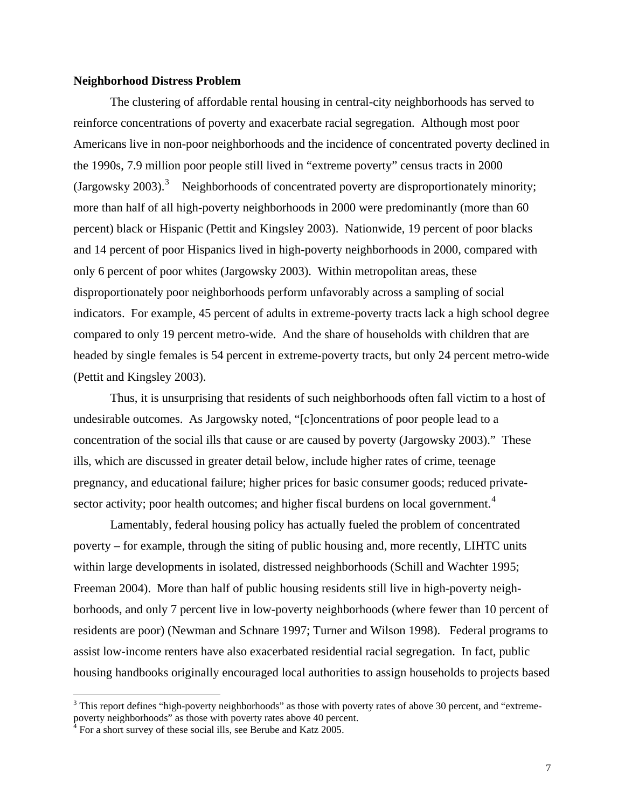## **Neighborhood Distress Problem**

The clustering of affordable rental housing in central-city neighborhoods has served to reinforce concentrations of poverty and exacerbate racial segregation. Although most poor Americans live in non-poor neighborhoods and the incidence of concentrated poverty declined in the 1990s, 7.9 million poor people still lived in "extreme poverty" census tracts in 2000 (Jargowsky 200[3](#page-8-0)).<sup>3</sup> Neighborhoods of concentrated poverty are disproportionately minority; more than half of all high-poverty neighborhoods in 2000 were predominantly (more than 60 percent) black or Hispanic (Pettit and Kingsley 2003). Nationwide, 19 percent of poor blacks and 14 percent of poor Hispanics lived in high-poverty neighborhoods in 2000, compared with only 6 percent of poor whites (Jargowsky 2003). Within metropolitan areas, these disproportionately poor neighborhoods perform unfavorably across a sampling of social indicators. For example, 45 percent of adults in extreme-poverty tracts lack a high school degree compared to only 19 percent metro-wide. And the share of households with children that are headed by single females is 54 percent in extreme-poverty tracts, but only 24 percent metro-wide (Pettit and Kingsley 2003).

Thus, it is unsurprising that residents of such neighborhoods often fall victim to a host of undesirable outcomes. As Jargowsky noted, "[c]oncentrations of poor people lead to a concentration of the social ills that cause or are caused by poverty (Jargowsky 2003)." These ills, which are discussed in greater detail below, include higher rates of crime, teenage pregnancy, and educational failure; higher prices for basic consumer goods; reduced private-sector activity; poor health outcomes; and higher fiscal burdens on local government.<sup>[4](#page-8-1)</sup>

 Lamentably, federal housing policy has actually fueled the problem of concentrated poverty – for example, through the siting of public housing and, more recently, LIHTC units within large developments in isolated, distressed neighborhoods (Schill and Wachter 1995; Freeman 2004). More than half of public housing residents still live in high-poverty neighborhoods, and only 7 percent live in low-poverty neighborhoods (where fewer than 10 percent of residents are poor) (Newman and Schnare 1997; Turner and Wilson 1998). Federal programs to assist low-income renters have also exacerbated residential racial segregation. In fact, public housing handbooks originally encouraged local authorities to assign households to projects based

<span id="page-8-0"></span> $3$  This report defines "high-poverty neighborhoods" as those with poverty rates of above 30 percent, and "extremepoverty neighborhoods" as those with poverty rates above 40 percent.<br> $^{4}$  For a chort survey of those social ills, see Berube and Ketz 2005.

<span id="page-8-1"></span> $\rm$ <sup>1</sup> For a short survey of these social ills, see Berube and Katz 2005.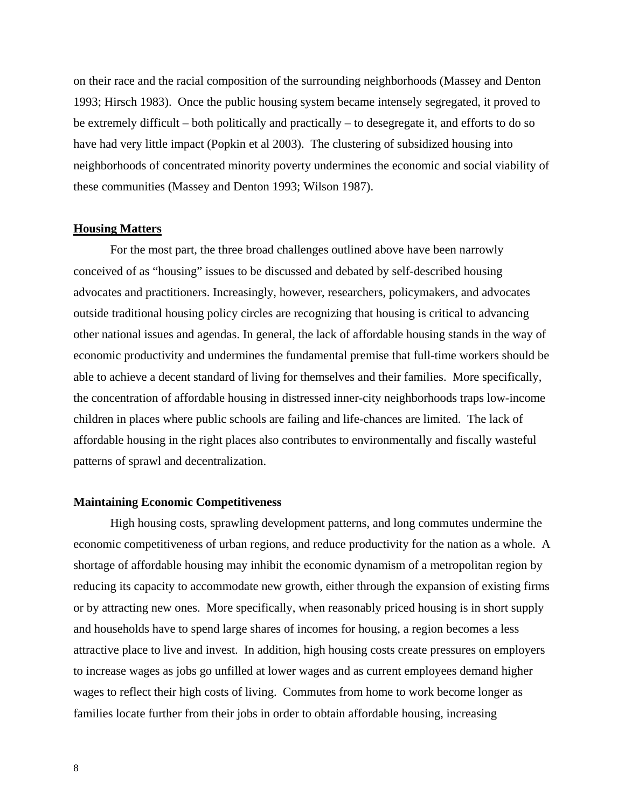on their race and the racial composition of the surrounding neighborhoods (Massey and Denton 1993; Hirsch 1983). Once the public housing system became intensely segregated, it proved to be extremely difficult – both politically and practically – to desegregate it, and efforts to do so have had very little impact (Popkin et al 2003). The clustering of subsidized housing into neighborhoods of concentrated minority poverty undermines the economic and social viability of these communities (Massey and Denton 1993; Wilson 1987).

#### **Housing Matters**

For the most part, the three broad challenges outlined above have been narrowly conceived of as "housing" issues to be discussed and debated by self-described housing advocates and practitioners. Increasingly, however, researchers, policymakers, and advocates outside traditional housing policy circles are recognizing that housing is critical to advancing other national issues and agendas. In general, the lack of affordable housing stands in the way of economic productivity and undermines the fundamental premise that full-time workers should be able to achieve a decent standard of living for themselves and their families. More specifically, the concentration of affordable housing in distressed inner-city neighborhoods traps low-income children in places where public schools are failing and life-chances are limited. The lack of affordable housing in the right places also contributes to environmentally and fiscally wasteful patterns of sprawl and decentralization.

## **Maintaining Economic Competitiveness**

High housing costs, sprawling development patterns, and long commutes undermine the economic competitiveness of urban regions, and reduce productivity for the nation as a whole. A shortage of affordable housing may inhibit the economic dynamism of a metropolitan region by reducing its capacity to accommodate new growth, either through the expansion of existing firms or by attracting new ones. More specifically, when reasonably priced housing is in short supply and households have to spend large shares of incomes for housing, a region becomes a less attractive place to live and invest. In addition, high housing costs create pressures on employers to increase wages as jobs go unfilled at lower wages and as current employees demand higher wages to reflect their high costs of living. Commutes from home to work become longer as families locate further from their jobs in order to obtain affordable housing, increasing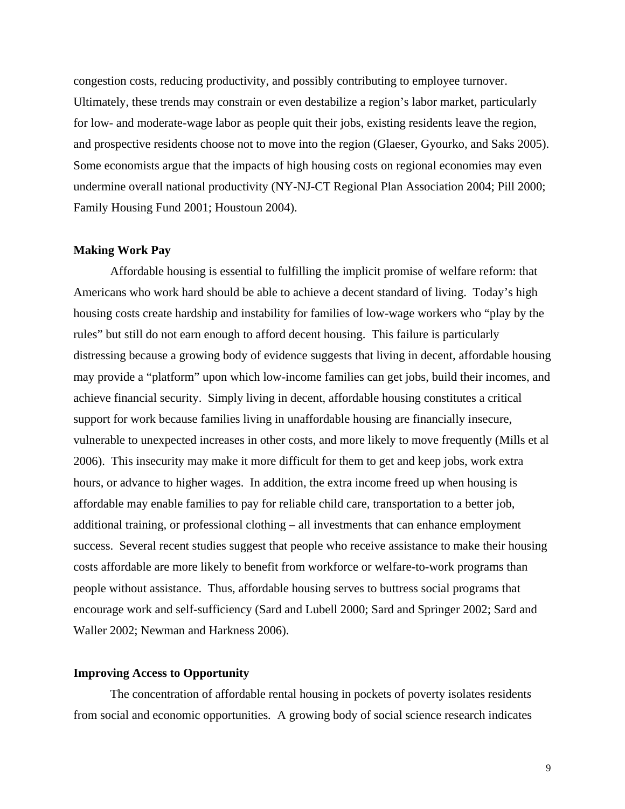congestion costs, reducing productivity, and possibly contributing to employee turnover. Ultimately, these trends may constrain or even destabilize a region's labor market, particularly for low- and moderate-wage labor as people quit their jobs, existing residents leave the region, and prospective residents choose not to move into the region (Glaeser, Gyourko, and Saks 2005). Some economists argue that the impacts of high housing costs on regional economies may even undermine overall national productivity (NY-NJ-CT Regional Plan Association 2004; Pill 2000; Family Housing Fund 2001; Houstoun 2004).

## **Making Work Pay**

Affordable housing is essential to fulfilling the implicit promise of welfare reform: that Americans who work hard should be able to achieve a decent standard of living. Today's high housing costs create hardship and instability for families of low-wage workers who "play by the rules" but still do not earn enough to afford decent housing. This failure is particularly distressing because a growing body of evidence suggests that living in decent, affordable housing may provide a "platform" upon which low-income families can get jobs, build their incomes, and achieve financial security. Simply living in decent, affordable housing constitutes a critical support for work because families living in unaffordable housing are financially insecure, vulnerable to unexpected increases in other costs, and more likely to move frequently (Mills et al 2006). This insecurity may make it more difficult for them to get and keep jobs, work extra hours, or advance to higher wages. In addition, the extra income freed up when housing is affordable may enable families to pay for reliable child care, transportation to a better job, additional training, or professional clothing – all investments that can enhance employment success. Several recent studies suggest that people who receive assistance to make their housing costs affordable are more likely to benefit from workforce or welfare-to-work programs than people without assistance. Thus, affordable housing serves to buttress social programs that encourage work and self-sufficiency (Sard and Lubell 2000; Sard and Springer 2002; Sard and Waller 2002; Newman and Harkness 2006).

## **Improving Access to Opportunity**

The concentration of affordable rental housing in pockets of poverty isolates resident*s*  from social and economic opportunities*.* A growing body of social science research indicates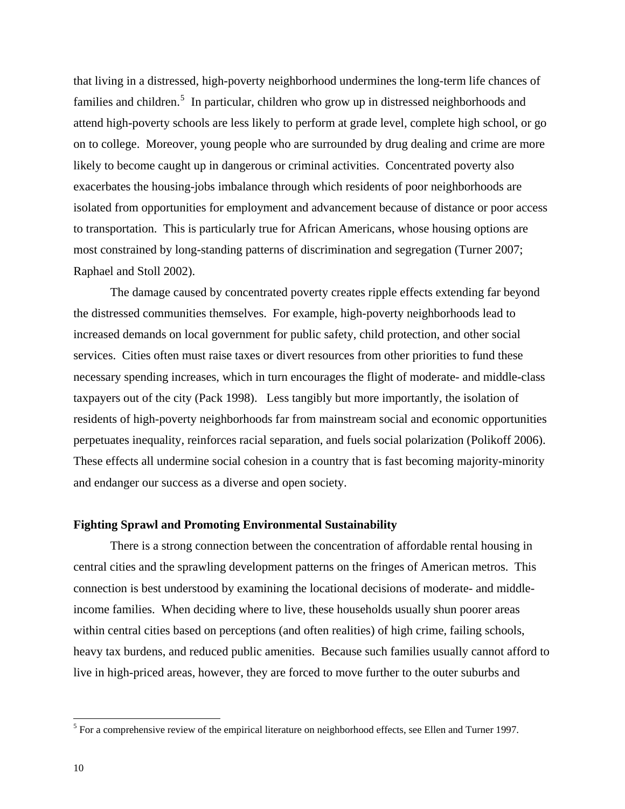that living in a distressed, high-poverty neighborhood undermines the long-term life chances of families and children.<sup>[5](#page-11-0)</sup> In particular, children who grow up in distressed neighborhoods and attend high-poverty schools are less likely to perform at grade level, complete high school, or go on to college. Moreover, young people who are surrounded by drug dealing and crime are more likely to become caught up in dangerous or criminal activities. Concentrated poverty also exacerbates the housing-jobs imbalance through which residents of poor neighborhoods are isolated from opportunities for employment and advancement because of distance or poor access to transportation. This is particularly true for African Americans, whose housing options are most constrained by long-standing patterns of discrimination and segregation (Turner 2007; Raphael and Stoll 2002).

The damage caused by concentrated poverty creates ripple effects extending far beyond the distressed communities themselves. For example, high-poverty neighborhoods lead to increased demands on local government for public safety, child protection, and other social services. Cities often must raise taxes or divert resources from other priorities to fund these necessary spending increases, which in turn encourages the flight of moderate- and middle-class taxpayers out of the city (Pack 1998). Less tangibly but more importantly, the isolation of residents of high-poverty neighborhoods far from mainstream social and economic opportunities perpetuates inequality, reinforces racial separation, and fuels social polarization (Polikoff 2006). These effects all undermine social cohesion in a country that is fast becoming majority-minority and endanger our success as a diverse and open society.

## **Fighting Sprawl and Promoting Environmental Sustainability**

There is a strong connection between the concentration of affordable rental housing in central cities and the sprawling development patterns on the fringes of American metros. This connection is best understood by examining the locational decisions of moderate- and middleincome families. When deciding where to live, these households usually shun poorer areas within central cities based on perceptions (and often realities) of high crime, failing schools, heavy tax burdens, and reduced public amenities. Because such families usually cannot afford to live in high-priced areas, however, they are forced to move further to the outer suburbs and

<span id="page-11-0"></span> $<sup>5</sup>$  For a comprehensive review of the empirical literature on neighborhood effects, see Ellen and Turner 1997.</sup>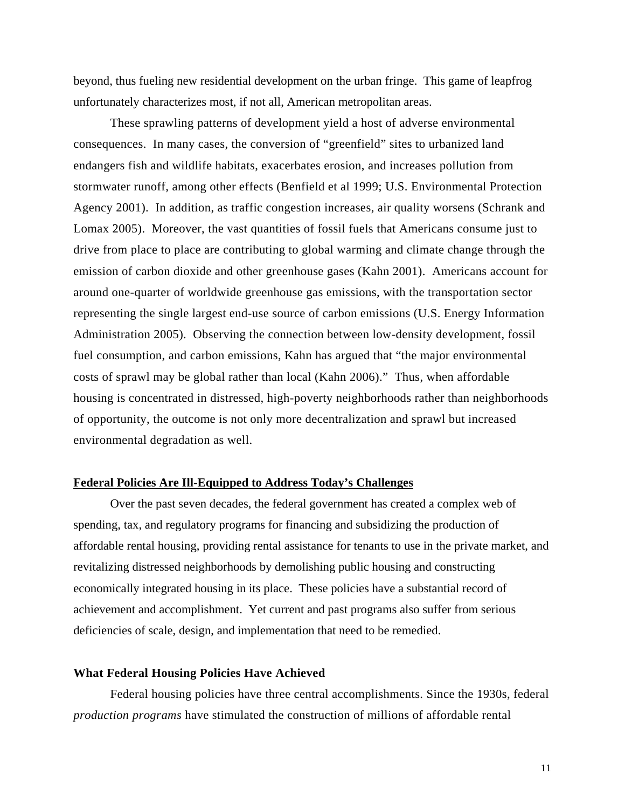beyond, thus fueling new residential development on the urban fringe. This game of leapfrog unfortunately characterizes most, if not all, American metropolitan areas.

These sprawling patterns of development yield a host of adverse environmental consequences. In many cases, the conversion of "greenfield" sites to urbanized land endangers fish and wildlife habitats, exacerbates erosion, and increases pollution from stormwater runoff, among other effects (Benfield et al 1999; U.S. Environmental Protection Agency 2001). In addition, as traffic congestion increases, air quality worsens (Schrank and Lomax 2005). Moreover, the vast quantities of fossil fuels that Americans consume just to drive from place to place are contributing to global warming and climate change through the emission of carbon dioxide and other greenhouse gases (Kahn 2001). Americans account for around one-quarter of worldwide greenhouse gas emissions, with the transportation sector representing the single largest end-use source of carbon emissions (U.S. Energy Information Administration 2005). Observing the connection between low-density development, fossil fuel consumption, and carbon emissions, Kahn has argued that "the major environmental costs of sprawl may be global rather than local (Kahn 2006)." Thus, when affordable housing is concentrated in distressed, high-poverty neighborhoods rather than neighborhoods of opportunity, the outcome is not only more decentralization and sprawl but increased environmental degradation as well.

## **Federal Policies Are Ill-Equipped to Address Today's Challenges**

 Over the past seven decades, the federal government has created a complex web of spending, tax, and regulatory programs for financing and subsidizing the production of affordable rental housing, providing rental assistance for tenants to use in the private market, and revitalizing distressed neighborhoods by demolishing public housing and constructing economically integrated housing in its place. These policies have a substantial record of achievement and accomplishment. Yet current and past programs also suffer from serious deficiencies of scale, design, and implementation that need to be remedied.

## **What Federal Housing Policies Have Achieved**

Federal housing policies have three central accomplishments. Since the 1930s, federal *production programs* have stimulated the construction of millions of affordable rental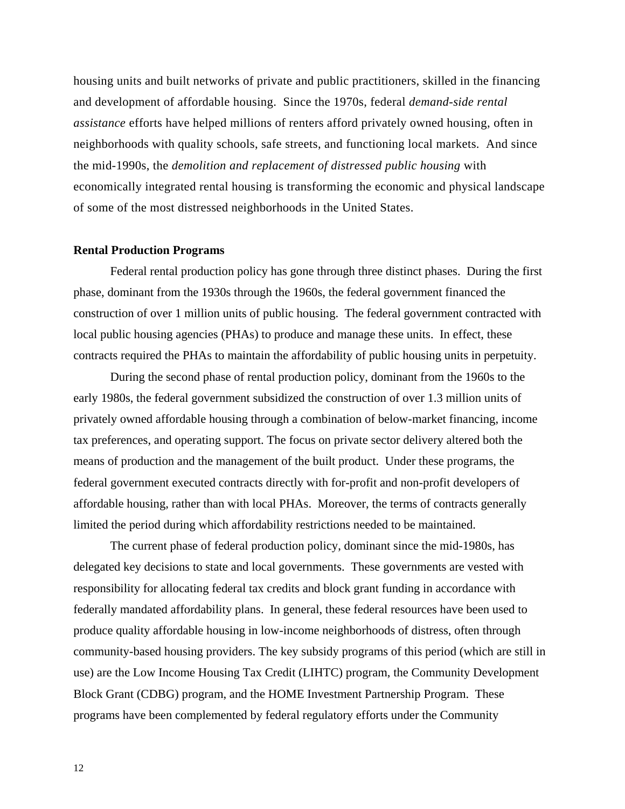housing units and built networks of private and public practitioners, skilled in the financing and development of affordable housing. Since the 1970s, federal *demand-side rental assistance* efforts have helped millions of renters afford privately owned housing, often in neighborhoods with quality schools, safe streets, and functioning local markets. And since the mid-1990s, the *demolition and replacement of distressed public housing* with economically integrated rental housing is transforming the economic and physical landscape of some of the most distressed neighborhoods in the United States.

#### **Rental Production Programs**

Federal rental production policy has gone through three distinct phases. During the first phase, dominant from the 1930s through the 1960s, the federal government financed the construction of over 1 million units of public housing. The federal government contracted with local public housing agencies (PHAs) to produce and manage these units. In effect, these contracts required the PHAs to maintain the affordability of public housing units in perpetuity.

 During the second phase of rental production policy, dominant from the 1960s to the early 1980s, the federal government subsidized the construction of over 1.3 million units of privately owned affordable housing through a combination of below-market financing, income tax preferences, and operating support. The focus on private sector delivery altered both the means of production and the management of the built product. Under these programs, the federal government executed contracts directly with for-profit and non-profit developers of affordable housing, rather than with local PHAs. Moreover, the terms of contracts generally limited the period during which affordability restrictions needed to be maintained.

 The current phase of federal production policy, dominant since the mid-1980s, has delegated key decisions to state and local governments. These governments are vested with responsibility for allocating federal tax credits and block grant funding in accordance with federally mandated affordability plans. In general, these federal resources have been used to produce quality affordable housing in low-income neighborhoods of distress, often through community-based housing providers. The key subsidy programs of this period (which are still in use) are the Low Income Housing Tax Credit (LIHTC) program, the Community Development Block Grant (CDBG) program, and the HOME Investment Partnership Program. These programs have been complemented by federal regulatory efforts under the Community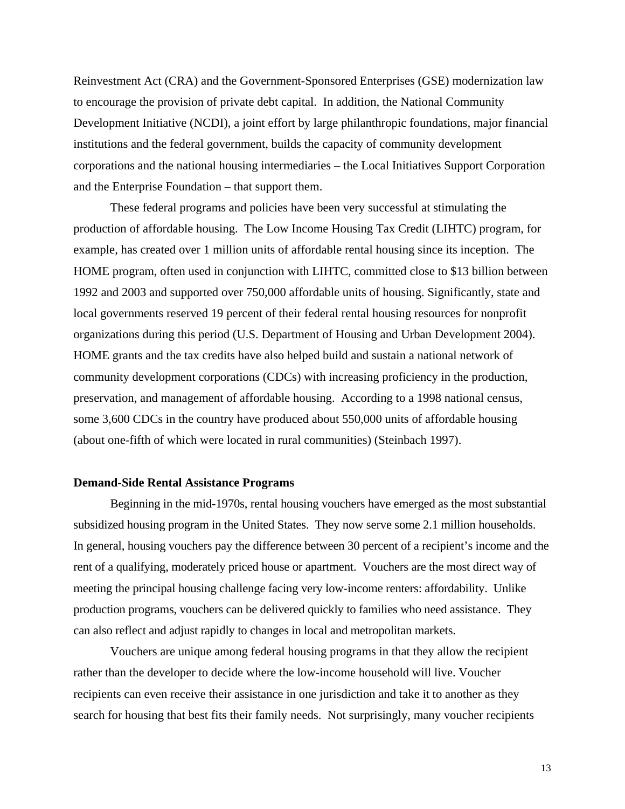Reinvestment Act (CRA) and the Government-Sponsored Enterprises (GSE) modernization law to encourage the provision of private debt capital. In addition, the National Community Development Initiative (NCDI), a joint effort by large philanthropic foundations, major financial institutions and the federal government, builds the capacity of community development corporations and the national housing intermediaries – the Local Initiatives Support Corporation and the Enterprise Foundation – that support them.

 These federal programs and policies have been very successful at stimulating the production of affordable housing. The Low Income Housing Tax Credit (LIHTC) program, for example, has created over 1 million units of affordable rental housing since its inception. The HOME program, often used in conjunction with LIHTC, committed close to \$13 billion between 1992 and 2003 and supported over 750,000 affordable units of housing. Significantly, state and local governments reserved 19 percent of their federal rental housing resources for nonprofit organizations during this period (U.S. Department of Housing and Urban Development 2004). HOME grants and the tax credits have also helped build and sustain a national network of community development corporations (CDCs) with increasing proficiency in the production, preservation, and management of affordable housing. According to a 1998 national census, some 3,600 CDCs in the country have produced about 550,000 units of affordable housing (about one-fifth of which were located in rural communities) (Steinbach 1997).

## **Demand-Side Rental Assistance Programs**

Beginning in the mid-1970s, rental housing vouchers have emerged as the most substantial subsidized housing program in the United States. They now serve some 2.1 million households. In general, housing vouchers pay the difference between 30 percent of a recipient's income and the rent of a qualifying, moderately priced house or apartment. Vouchers are the most direct way of meeting the principal housing challenge facing very low-income renters: affordability. Unlike production programs, vouchers can be delivered quickly to families who need assistance. They can also reflect and adjust rapidly to changes in local and metropolitan markets.

Vouchers are unique among federal housing programs in that they allow the recipient rather than the developer to decide where the low-income household will live. Voucher recipients can even receive their assistance in one jurisdiction and take it to another as they search for housing that best fits their family needs. Not surprisingly, many voucher recipients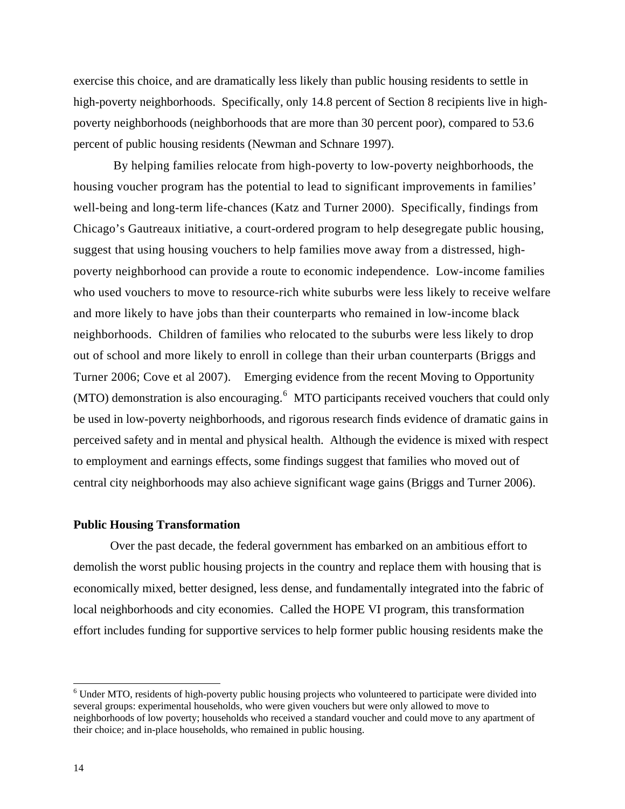exercise this choice, and are dramatically less likely than public housing residents to settle in high-poverty neighborhoods. Specifically, only 14.8 percent of Section 8 recipients live in highpoverty neighborhoods (neighborhoods that are more than 30 percent poor), compared to 53.6 percent of public housing residents (Newman and Schnare 1997).

 By helping families relocate from high-poverty to low-poverty neighborhoods, the housing voucher program has the potential to lead to significant improvements in families' well-being and long-term life-chances (Katz and Turner 2000). Specifically, findings from Chicago's Gautreaux initiative, a court-ordered program to help desegregate public housing, suggest that using housing vouchers to help families move away from a distressed, highpoverty neighborhood can provide a route to economic independence. Low-income families who used vouchers to move to resource-rich white suburbs were less likely to receive welfare and more likely to have jobs than their counterparts who remained in low-income black neighborhoods. Children of families who relocated to the suburbs were less likely to drop out of school and more likely to enroll in college than their urban counterparts (Briggs and Turner 2006; Cove et al 2007). Emerging evidence from the recent Moving to Opportunity  $(MTO)$  demonstration is also encouraging.<sup>[6](#page-15-0)</sup> MTO participants received vouchers that could only be used in low-poverty neighborhoods, and rigorous research finds evidence of dramatic gains in perceived safety and in mental and physical health. Although the evidence is mixed with respect to employment and earnings effects, some findings suggest that families who moved out of central city neighborhoods may also achieve significant wage gains (Briggs and Turner 2006).

## **Public Housing Transformation**

Over the past decade, the federal government has embarked on an ambitious effort to demolish the worst public housing projects in the country and replace them with housing that is economically mixed, better designed, less dense, and fundamentally integrated into the fabric of local neighborhoods and city economies. Called the HOPE VI program, this transformation effort includes funding for supportive services to help former public housing residents make the

<span id="page-15-0"></span><sup>&</sup>lt;sup>6</sup> Under MTO, residents of high-poverty public housing projects who volunteered to participate were divided into several groups: experimental households, who were given vouchers but were only allowed to move to neighborhoods of low poverty; households who received a standard voucher and could move to any apartment of their choice; and in-place households, who remained in public housing.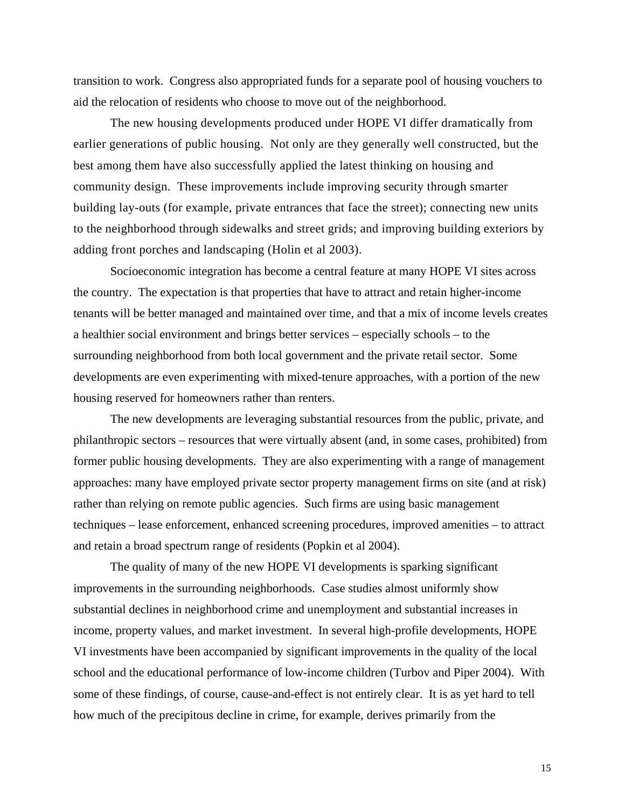transition to work. Congress also appropriated funds for a separate pool of housing vouchers to aid the relocation of residents who choose to move out of the neighborhood.

The new housing developments produced under HOPE VI differ dramatically from earlier generations of public housing. Not only are they generally well constructed, but the best among them have also successfully applied the latest thinking on housing and community design. These improvements include improving security through smarter building lay-outs (for example, private entrances that face the street); connecting new units to the neighborhood through sidewalks and street grids; and improving building exteriors by adding front porches and landscaping (Holin et al 2003).

Socioeconomic integration has become a central feature at many HOPE VI sites across the country. The expectation is that properties that have to attract and retain higher-income tenants will be better managed and maintained over time, and that a mix of income levels creates a healthier social environment and brings better services – especially schools – to the surrounding neighborhood from both local government and the private retail sector. Some developments are even experimenting with mixed-tenure approaches, with a portion of the new housing reserved for homeowners rather than renters.

The new developments are leveraging substantial resources from the public, private, and philanthropic sectors – resources that were virtually absent (and, in some cases, prohibited) from former public housing developments. They are also experimenting with a range of management approaches: many have employed private sector property management firms on site (and at risk) rather than relying on remote public agencies. Such firms are using basic management techniques – lease enforcement, enhanced screening procedures, improved amenities – to attract and retain a broad spectrum range of residents (Popkin et al 2004).

The quality of many of the new HOPE VI developments is sparking significant improvements in the surrounding neighborhoods. Case studies almost uniformly show substantial declines in neighborhood crime and unemployment and substantial increases in income, property values, and market investment. In several high-profile developments, HOPE VI investments have been accompanied by significant improvements in the quality of the local school and the educational performance of low-income children (Turbov and Piper 2004). With some of these findings, of course, cause-and-effect is not entirely clear. It is as yet hard to tell how much of the precipitous decline in crime, for example, derives primarily from the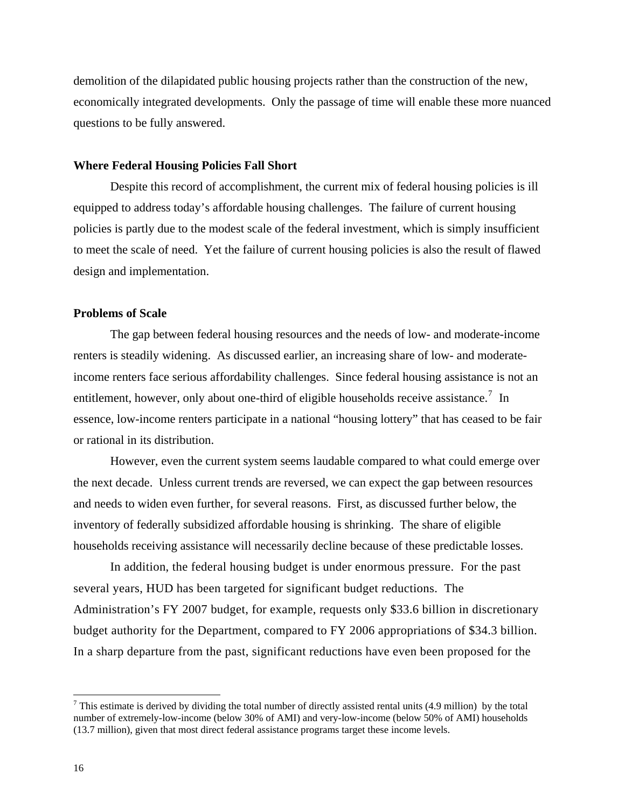demolition of the dilapidated public housing projects rather than the construction of the new, economically integrated developments. Only the passage of time will enable these more nuanced questions to be fully answered.

## **Where Federal Housing Policies Fall Short**

Despite this record of accomplishment, the current mix of federal housing policies is ill equipped to address today's affordable housing challenges. The failure of current housing policies is partly due to the modest scale of the federal investment, which is simply insufficient to meet the scale of need. Yet the failure of current housing policies is also the result of flawed design and implementation.

## **Problems of Scale**

The gap between federal housing resources and the needs of low- and moderate-income renters is steadily widening. As discussed earlier, an increasing share of low- and moderateincome renters face serious affordability challenges. Since federal housing assistance is not an entitlement, however, only about one-third of eligible households receive assistance.<sup>[7](#page-17-0)</sup> In essence, low-income renters participate in a national "housing lottery" that has ceased to be fair or rational in its distribution.

However, even the current system seems laudable compared to what could emerge over the next decade. Unless current trends are reversed, we can expect the gap between resources and needs to widen even further, for several reasons. First, as discussed further below, the inventory of federally subsidized affordable housing is shrinking. The share of eligible households receiving assistance will necessarily decline because of these predictable losses.

In addition, the federal housing budget is under enormous pressure. For the past several years, HUD has been targeted for significant budget reductions. The Administration's FY 2007 budget, for example, requests only \$33.6 billion in discretionary budget authority for the Department, compared to FY 2006 appropriations of \$34.3 billion. In a sharp departure from the past, significant reductions have even been proposed for the

<span id="page-17-0"></span> $7$  This estimate is derived by dividing the total number of directly assisted rental units (4.9 million) by the total number of extremely-low-income (below 30% of AMI) and very-low-income (below 50% of AMI) households (13.7 million), given that most direct federal assistance programs target these income levels.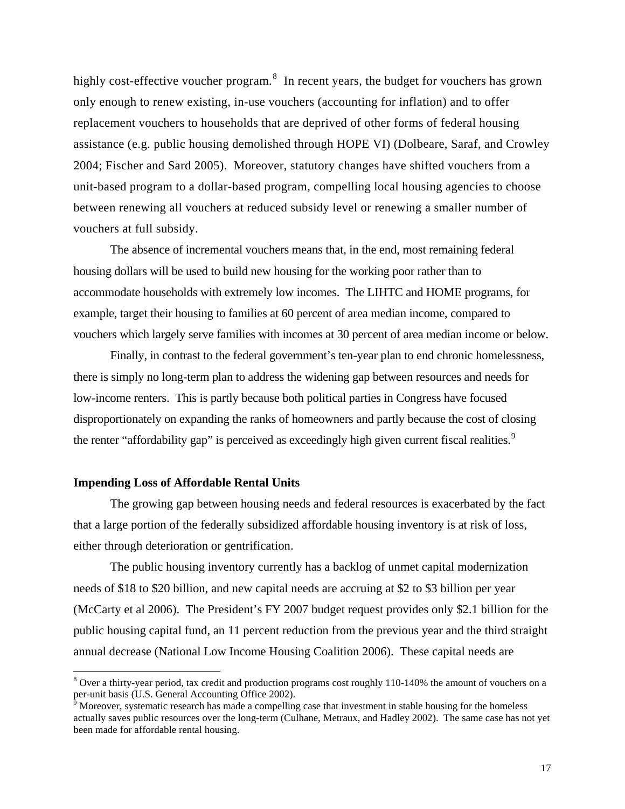highly cost-effective voucher program.<sup>[8](#page-18-0)</sup> In recent years, the budget for vouchers has grown only enough to renew existing, in-use vouchers (accounting for inflation) and to offer replacement vouchers to households that are deprived of other forms of federal housing assistance (e.g. public housing demolished through HOPE VI) (Dolbeare, Saraf, and Crowley 2004; Fischer and Sard 2005). Moreover, statutory changes have shifted vouchers from a unit-based program to a dollar-based program, compelling local housing agencies to choose between renewing all vouchers at reduced subsidy level or renewing a smaller number of vouchers at full subsidy.

The absence of incremental vouchers means that, in the end, most remaining federal housing dollars will be used to build new housing for the working poor rather than to accommodate households with extremely low incomes. The LIHTC and HOME programs, for example, target their housing to families at 60 percent of area median income, compared to vouchers which largely serve families with incomes at 30 percent of area median income or below.

Finally, in contrast to the federal government's ten-year plan to end chronic homelessness, there is simply no long-term plan to address the widening gap between resources and needs for low-income renters. This is partly because both political parties in Congress have focused disproportionately on expanding the ranks of homeowners and partly because the cost of closing the renter "affordability gap" is perceived as exceedingly high given current fiscal realities.<sup>[9](#page-18-1)</sup>

#### **Impending Loss of Affordable Rental Units**

The growing gap between housing needs and federal resources is exacerbated by the fact that a large portion of the federally subsidized affordable housing inventory is at risk of loss, either through deterioration or gentrification.

The public housing inventory currently has a backlog of unmet capital modernization needs of \$18 to \$20 billion, and new capital needs are accruing at \$2 to \$3 billion per year (McCarty et al 2006). The President's FY 2007 budget request provides only \$2.1 billion for the public housing capital fund, an 11 percent reduction from the previous year and the third straight annual decrease (National Low Income Housing Coalition 2006). These capital needs are

<span id="page-18-0"></span> $8$  Over a thirty-year period, tax credit and production programs cost roughly 110-140% the amount of vouchers on a per-unit basis (U.S. General Accounting Office 2002).<br><sup>9</sup> Moreover, systematic research has made a compelling case that investment in stable housing for the homeless

<span id="page-18-1"></span>actually saves public resources over the long-term (Culhane, Metraux, and Hadley 2002). The same case has not yet been made for affordable rental housing.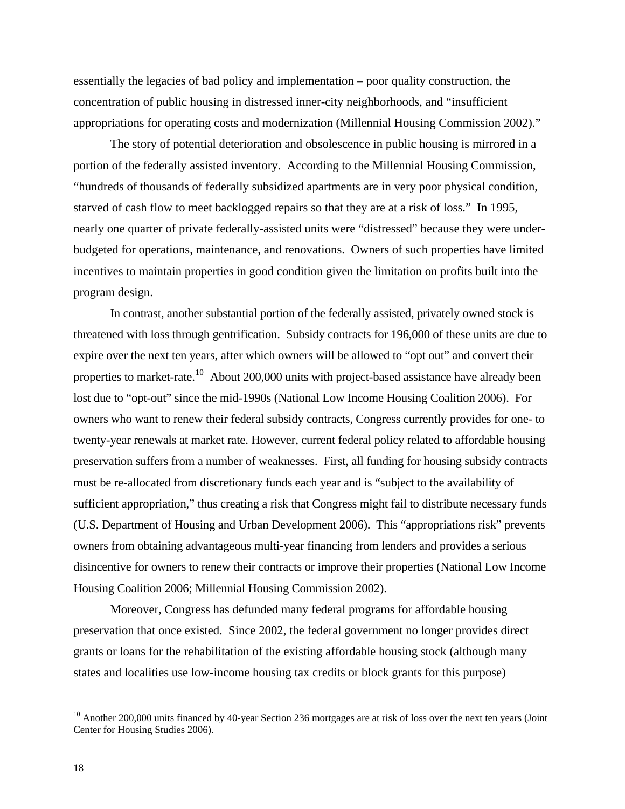essentially the legacies of bad policy and implementation – poor quality construction, the concentration of public housing in distressed inner-city neighborhoods, and "insufficient appropriations for operating costs and modernization (Millennial Housing Commission 2002)."

The story of potential deterioration and obsolescence in public housing is mirrored in a portion of the federally assisted inventory. According to the Millennial Housing Commission, "hundreds of thousands of federally subsidized apartments are in very poor physical condition, starved of cash flow to meet backlogged repairs so that they are at a risk of loss." In 1995, nearly one quarter of private federally-assisted units were "distressed" because they were underbudgeted for operations, maintenance, and renovations. Owners of such properties have limited incentives to maintain properties in good condition given the limitation on profits built into the program design.

In contrast, another substantial portion of the federally assisted, privately owned stock is threatened with loss through gentrification. Subsidy contracts for 196,000 of these units are due to expire over the next ten years, after which owners will be allowed to "opt out" and convert their properties to market-rate.<sup>[10](#page-19-0)</sup> About 200,000 units with project-based assistance have already been lost due to "opt-out" since the mid-1990s (National Low Income Housing Coalition 2006). For owners who want to renew their federal subsidy contracts, Congress currently provides for one- to twenty-year renewals at market rate. However, current federal policy related to affordable housing preservation suffers from a number of weaknesses. First, all funding for housing subsidy contracts must be re-allocated from discretionary funds each year and is "subject to the availability of sufficient appropriation," thus creating a risk that Congress might fail to distribute necessary funds (U.S. Department of Housing and Urban Development 2006). This "appropriations risk" prevents owners from obtaining advantageous multi-year financing from lenders and provides a serious disincentive for owners to renew their contracts or improve their properties (National Low Income Housing Coalition 2006; Millennial Housing Commission 2002).

Moreover, Congress has defunded many federal programs for affordable housing preservation that once existed. Since 2002, the federal government no longer provides direct grants or loans for the rehabilitation of the existing affordable housing stock (although many states and localities use low-income housing tax credits or block grants for this purpose)

<span id="page-19-0"></span><sup>&</sup>lt;sup>10</sup> Another 200,000 units financed by 40-year Section 236 mortgages are at risk of loss over the next ten years (Joint Center for Housing Studies 2006).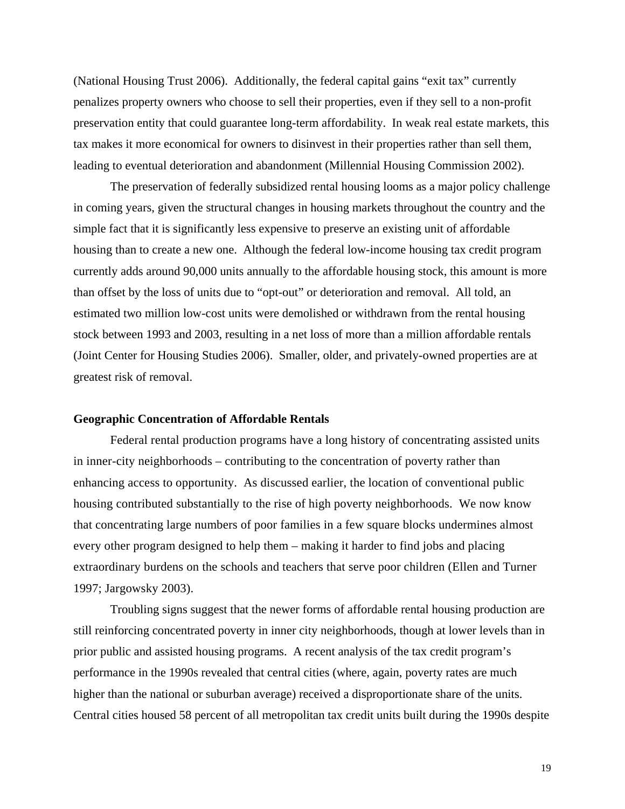(National Housing Trust 2006). Additionally, the federal capital gains "exit tax" currently penalizes property owners who choose to sell their properties, even if they sell to a non-profit preservation entity that could guarantee long-term affordability. In weak real estate markets, this tax makes it more economical for owners to disinvest in their properties rather than sell them, leading to eventual deterioration and abandonment (Millennial Housing Commission 2002).

The preservation of federally subsidized rental housing looms as a major policy challenge in coming years, given the structural changes in housing markets throughout the country and the simple fact that it is significantly less expensive to preserve an existing unit of affordable housing than to create a new one. Although the federal low-income housing tax credit program currently adds around 90,000 units annually to the affordable housing stock, this amount is more than offset by the loss of units due to "opt-out" or deterioration and removal. All told, an estimated two million low-cost units were demolished or withdrawn from the rental housing stock between 1993 and 2003, resulting in a net loss of more than a million affordable rentals (Joint Center for Housing Studies 2006). Smaller, older, and privately-owned properties are at greatest risk of removal.

## **Geographic Concentration of Affordable Rentals**

Federal rental production programs have a long history of concentrating assisted units in inner-city neighborhoods – contributing to the concentration of poverty rather than enhancing access to opportunity. As discussed earlier, the location of conventional public housing contributed substantially to the rise of high poverty neighborhoods. We now know that concentrating large numbers of poor families in a few square blocks undermines almost every other program designed to help them – making it harder to find jobs and placing extraordinary burdens on the schools and teachers that serve poor children (Ellen and Turner 1997; Jargowsky 2003).

 Troubling signs suggest that the newer forms of affordable rental housing production are still reinforcing concentrated poverty in inner city neighborhoods, though at lower levels than in prior public and assisted housing programs. A recent analysis of the tax credit program's performance in the 1990s revealed that central cities (where, again, poverty rates are much higher than the national or suburban average) received a disproportionate share of the units. Central cities housed 58 percent of all metropolitan tax credit units built during the 1990s despite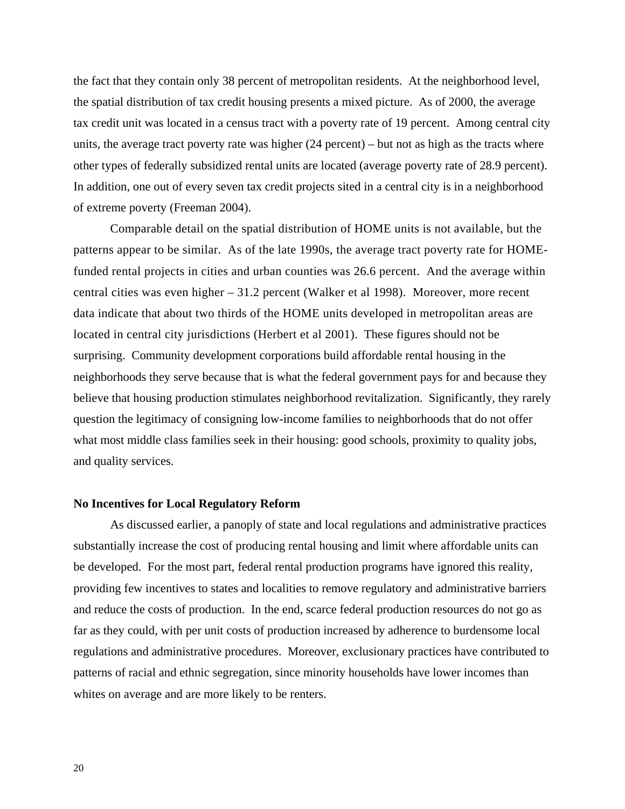the fact that they contain only 38 percent of metropolitan residents. At the neighborhood level, the spatial distribution of tax credit housing presents a mixed picture. As of 2000, the average tax credit unit was located in a census tract with a poverty rate of 19 percent. Among central city units, the average tract poverty rate was higher (24 percent) – but not as high as the tracts where other types of federally subsidized rental units are located (average poverty rate of 28.9 percent). In addition, one out of every seven tax credit projects sited in a central city is in a neighborhood of extreme poverty (Freeman 2004).

Comparable detail on the spatial distribution of HOME units is not available, but the patterns appear to be similar. As of the late 1990s, the average tract poverty rate for HOMEfunded rental projects in cities and urban counties was 26.6 percent. And the average within central cities was even higher – 31.2 percent (Walker et al 1998). Moreover, more recent data indicate that about two thirds of the HOME units developed in metropolitan areas are located in central city jurisdictions (Herbert et al 2001). These figures should not be surprising. Community development corporations build affordable rental housing in the neighborhoods they serve because that is what the federal government pays for and because they believe that housing production stimulates neighborhood revitalization. Significantly, they rarely question the legitimacy of consigning low-income families to neighborhoods that do not offer what most middle class families seek in their housing: good schools, proximity to quality jobs, and quality services.

#### **No Incentives for Local Regulatory Reform**

As discussed earlier, a panoply of state and local regulations and administrative practices substantially increase the cost of producing rental housing and limit where affordable units can be developed. For the most part, federal rental production programs have ignored this reality, providing few incentives to states and localities to remove regulatory and administrative barriers and reduce the costs of production. In the end, scarce federal production resources do not go as far as they could, with per unit costs of production increased by adherence to burdensome local regulations and administrative procedures. Moreover, exclusionary practices have contributed to patterns of racial and ethnic segregation, since minority households have lower incomes than whites on average and are more likely to be renters.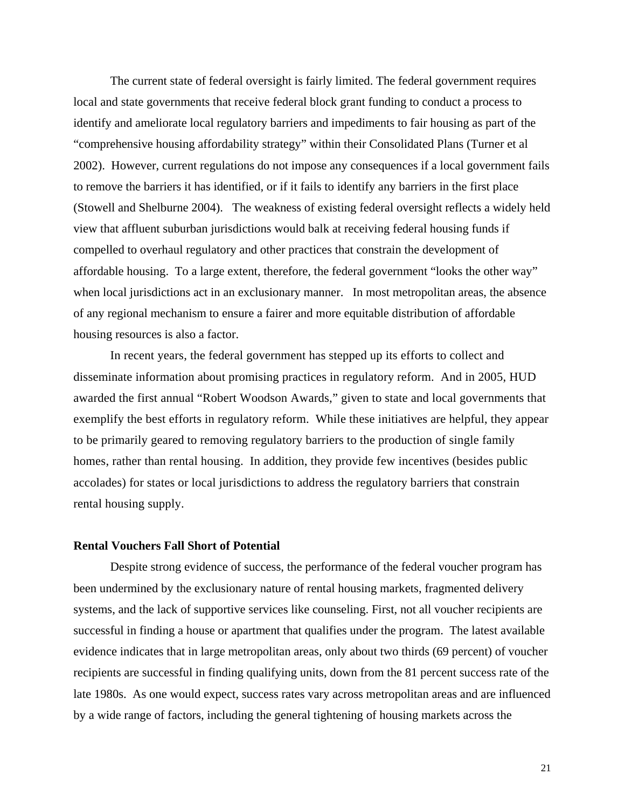The current state of federal oversight is fairly limited. The federal government requires local and state governments that receive federal block grant funding to conduct a process to identify and ameliorate local regulatory barriers and impediments to fair housing as part of the "comprehensive housing affordability strategy" within their Consolidated Plans (Turner et al 2002). However, current regulations do not impose any consequences if a local government fails to remove the barriers it has identified, or if it fails to identify any barriers in the first place (Stowell and Shelburne 2004). The weakness of existing federal oversight reflects a widely held view that affluent suburban jurisdictions would balk at receiving federal housing funds if compelled to overhaul regulatory and other practices that constrain the development of affordable housing. To a large extent, therefore, the federal government "looks the other way" when local jurisdictions act in an exclusionary manner. In most metropolitan areas, the absence of any regional mechanism to ensure a fairer and more equitable distribution of affordable housing resources is also a factor.

In recent years, the federal government has stepped up its efforts to collect and disseminate information about promising practices in regulatory reform. And in 2005, HUD awarded the first annual "Robert Woodson Awards," given to state and local governments that exemplify the best efforts in regulatory reform. While these initiatives are helpful, they appear to be primarily geared to removing regulatory barriers to the production of single family homes, rather than rental housing. In addition, they provide few incentives (besides public accolades) for states or local jurisdictions to address the regulatory barriers that constrain rental housing supply.

## **Rental Vouchers Fall Short of Potential**

Despite strong evidence of success, the performance of the federal voucher program has been undermined by the exclusionary nature of rental housing markets, fragmented delivery systems, and the lack of supportive services like counseling. First, not all voucher recipients are successful in finding a house or apartment that qualifies under the program.The latest available evidence indicates that in large metropolitan areas, only about two thirds (69 percent) of voucher recipients are successful in finding qualifying units, down from the 81 percent success rate of the late 1980s. As one would expect, success rates vary across metropolitan areas and are influenced by a wide range of factors, including the general tightening of housing markets across the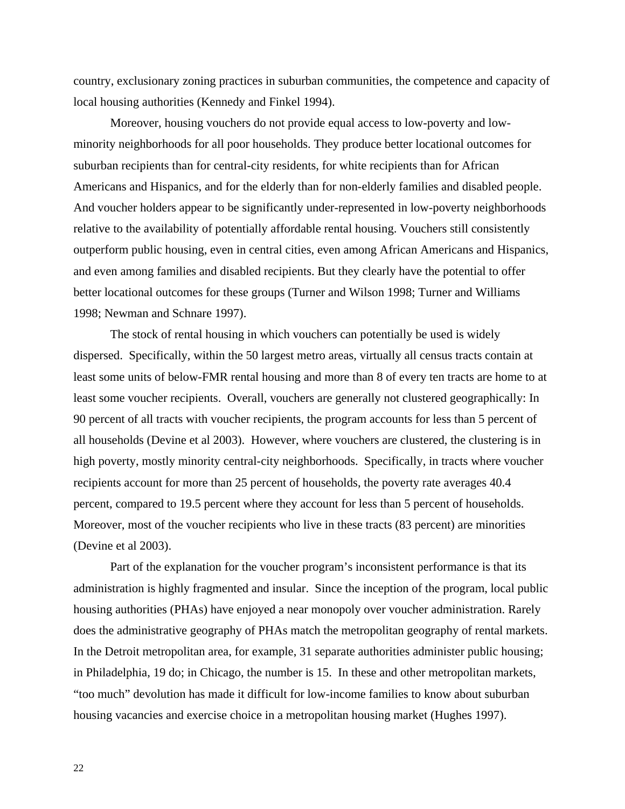country, exclusionary zoning practices in suburban communities, the competence and capacity of local housing authorities (Kennedy and Finkel 1994).

Moreover, housing vouchers do not provide equal access to low-poverty and lowminority neighborhoods for all poor households. They produce better locational outcomes for suburban recipients than for central-city residents, for white recipients than for African Americans and Hispanics, and for the elderly than for non-elderly families and disabled people. And voucher holders appear to be significantly under-represented in low-poverty neighborhoods relative to the availability of potentially affordable rental housing. Vouchers still consistently outperform public housing, even in central cities, even among African Americans and Hispanics, and even among families and disabled recipients. But they clearly have the potential to offer better locational outcomes for these groups (Turner and Wilson 1998; Turner and Williams 1998; Newman and Schnare 1997).

The stock of rental housing in which vouchers can potentially be used is widely dispersed. Specifically, within the 50 largest metro areas, virtually all census tracts contain at least some units of below-FMR rental housing and more than 8 of every ten tracts are home to at least some voucher recipients. Overall, vouchers are generally not clustered geographically: In 90 percent of all tracts with voucher recipients, the program accounts for less than 5 percent of all households (Devine et al 2003). However, where vouchers are clustered, the clustering is in high poverty, mostly minority central-city neighborhoods. Specifically, in tracts where voucher recipients account for more than 25 percent of households, the poverty rate averages 40.4 percent, compared to 19.5 percent where they account for less than 5 percent of households. Moreover, most of the voucher recipients who live in these tracts (83 percent) are minorities (Devine et al 2003).

Part of the explanation for the voucher program's inconsistent performance is that its administration is highly fragmented and insular.Since the inception of the program, local public housing authorities (PHAs) have enjoyed a near monopoly over voucher administration. Rarely does the administrative geography of PHAs match the metropolitan geography of rental markets. In the Detroit metropolitan area, for example, 31 separate authorities administer public housing; in Philadelphia, 19 do; in Chicago, the number is 15. In these and other metropolitan markets, "too much" devolution has made it difficult for low-income families to know about suburban housing vacancies and exercise choice in a metropolitan housing market (Hughes 1997).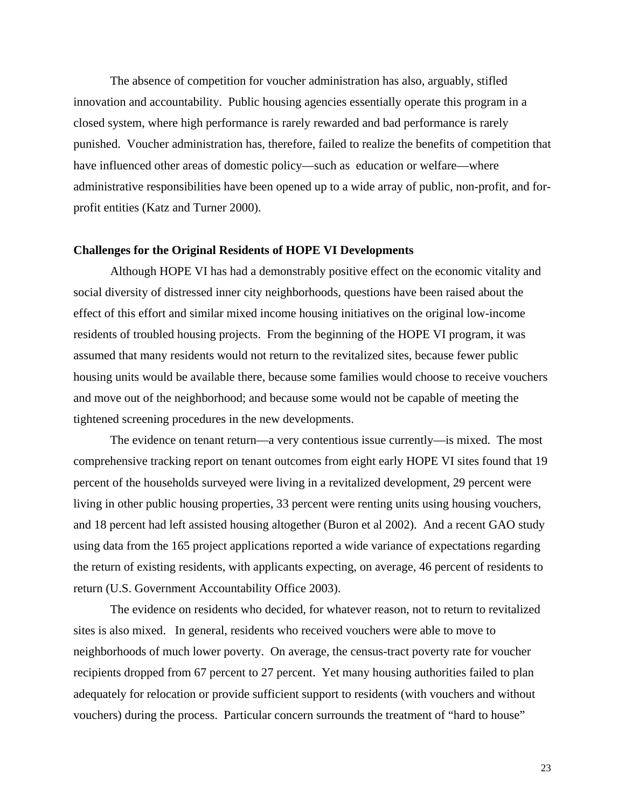The absence of competition for voucher administration has also, arguably, stifled innovation and accountability. Public housing agencies essentially operate this program in a closed system, where high performance is rarely rewarded and bad performance is rarely punished. Voucher administration has, therefore, failed to realize the benefits of competition that have influenced other areas of domestic policy—such as education or welfare—where administrative responsibilities have been opened up to a wide array of public, non-profit, and forprofit entities (Katz and Turner 2000).

#### **Challenges for the Original Residents of HOPE VI Developments**

Although HOPE VI has had a demonstrably positive effect on the economic vitality and social diversity of distressed inner city neighborhoods, questions have been raised about the effect of this effort and similar mixed income housing initiatives on the original low-income residents of troubled housing projects. From the beginning of the HOPE VI program, it was assumed that many residents would not return to the revitalized sites, because fewer public housing units would be available there, because some families would choose to receive vouchers and move out of the neighborhood; and because some would not be capable of meeting the tightened screening procedures in the new developments.

The evidence on tenant return—a very contentious issue currently—is mixed. The most comprehensive tracking report on tenant outcomes from eight early HOPE VI sites found that 19 percent of the households surveyed were living in a revitalized development, 29 percent were living in other public housing properties, 33 percent were renting units using housing vouchers, and 18 percent had left assisted housing altogether (Buron et al 2002). And a recent GAO study using data from the 165 project applications reported a wide variance of expectations regarding the return of existing residents, with applicants expecting, on average, 46 percent of residents to return (U.S. Government Accountability Office 2003).

The evidence on residents who decided, for whatever reason, not to return to revitalized sites is also mixed. In general, residents who received vouchers were able to move to neighborhoods of much lower poverty. On average, the census-tract poverty rate for voucher recipients dropped from 67 percent to 27 percent. Yet many housing authorities failed to plan adequately for relocation or provide sufficient support to residents (with vouchers and without vouchers) during the process. Particular concern surrounds the treatment of "hard to house"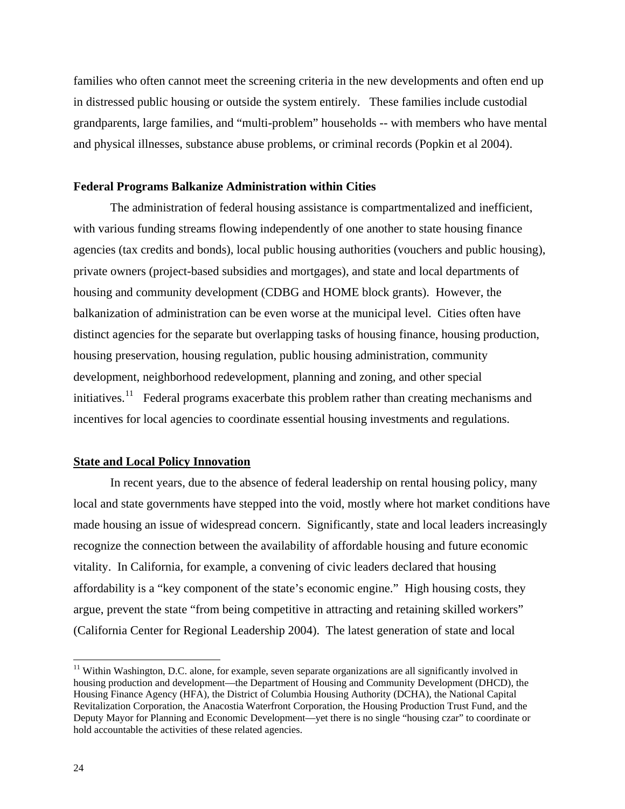families who often cannot meet the screening criteria in the new developments and often end up in distressed public housing or outside the system entirely. These families include custodial grandparents, large families, and "multi-problem" households -- with members who have mental and physical illnesses, substance abuse problems, or criminal records (Popkin et al 2004).

### **Federal Programs Balkanize Administration within Cities**

The administration of federal housing assistance is compartmentalized and inefficient, with various funding streams flowing independently of one another to state housing finance agencies (tax credits and bonds), local public housing authorities (vouchers and public housing), private owners (project-based subsidies and mortgages), and state and local departments of housing and community development (CDBG and HOME block grants). However, the balkanization of administration can be even worse at the municipal level. Cities often have distinct agencies for the separate but overlapping tasks of housing finance, housing production, housing preservation, housing regulation, public housing administration, community development, neighborhood redevelopment, planning and zoning, and other special initiatives.<sup>[11](#page-25-0)</sup> Federal programs exacerbate this problem rather than creating mechanisms and incentives for local agencies to coordinate essential housing investments and regulations.

## **State and Local Policy Innovation**

In recent years, due to the absence of federal leadership on rental housing policy, many local and state governments have stepped into the void, mostly where hot market conditions have made housing an issue of widespread concern. Significantly, state and local leaders increasingly recognize the connection between the availability of affordable housing and future economic vitality. In California, for example, a convening of civic leaders declared that housing affordability is a "key component of the state's economic engine." High housing costs, they argue, prevent the state "from being competitive in attracting and retaining skilled workers" (California Center for Regional Leadership 2004). The latest generation of state and local

<span id="page-25-0"></span><sup>&</sup>lt;sup>11</sup> Within Washington, D.C. alone, for example, seven separate organizations are all significantly involved in housing production and development—the Department of Housing and Community Development (DHCD), the Housing Finance Agency (HFA), the District of Columbia Housing Authority (DCHA), the National Capital Revitalization Corporation, the Anacostia Waterfront Corporation, the Housing Production Trust Fund, and the Deputy Mayor for Planning and Economic Development—yet there is no single "housing czar" to coordinate or hold accountable the activities of these related agencies.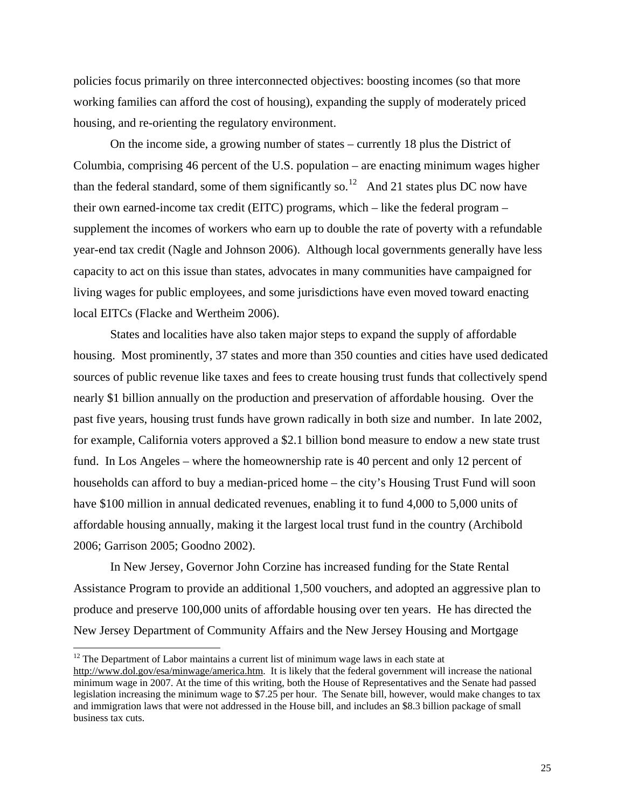policies focus primarily on three interconnected objectives: boosting incomes (so that more working families can afford the cost of housing), expanding the supply of moderately priced housing, and re-orienting the regulatory environment.

On the income side, a growing number of states – currently 18 plus the District of Columbia, comprising 46 percent of the U.S. population – are enacting minimum wages higher than the federal standard, some of them significantly so.<sup>[12](#page-26-0)</sup> And 21 states plus DC now have their own earned-income tax credit (EITC) programs, which – like the federal program – supplement the incomes of workers who earn up to double the rate of poverty with a refundable year-end tax credit (Nagle and Johnson 2006). Although local governments generally have less capacity to act on this issue than states, advocates in many communities have campaigned for living wages for public employees, and some jurisdictions have even moved toward enacting local EITCs (Flacke and Wertheim 2006).

States and localities have also taken major steps to expand the supply of affordable housing.Most prominently, 37 states and more than 350 counties and cities have used dedicated sources of public revenue like taxes and fees to create housing trust funds that collectively spend nearly \$1 billion annually on the production and preservation of affordable housing. Over the past five years, housing trust funds have grown radically in both size and number. In late 2002, for example, California voters approved a \$2.1 billion bond measure to endow a new state trust fund. In Los Angeles – where the homeownership rate is 40 percent and only 12 percent of households can afford to buy a median-priced home – the city's Housing Trust Fund will soon have \$100 million in annual dedicated revenues, enabling it to fund 4,000 to 5,000 units of affordable housing annually, making it the largest local trust fund in the country (Archibold 2006; Garrison 2005; Goodno 2002).

In New Jersey, Governor John Corzine has increased funding for the State Rental Assistance Program to provide an additional 1,500 vouchers, and adopted an aggressive plan to produce and preserve 100,000 units of affordable housing over ten years. He has directed the New Jersey Department of Community Affairs and the New Jersey Housing and Mortgage

<span id="page-26-0"></span> $12$  The Department of Labor maintains a current list of minimum wage laws in each state at

[http://www.dol.gov/esa/minwage/america.htm.](http://www.dol.gov/esa/minwage/america.htm) It is likely that the federal government will increase the national minimum wage in 2007. At the time of this writing, both the House of Representatives and the Senate had passed legislation increasing the minimum wage to \$7.25 per hour. The Senate bill, however, would make changes to tax and immigration laws that were not addressed in the House bill, and includes an \$8.3 billion package of small business tax cuts.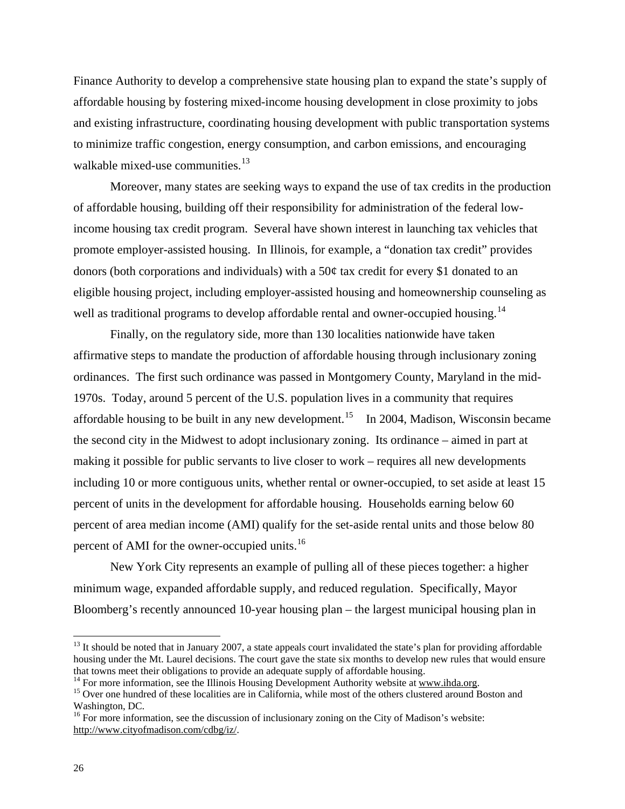Finance Authority to develop a comprehensive state housing plan to expand the state's supply of affordable housing by fostering mixed-income housing development in close proximity to jobs and existing infrastructure, coordinating housing development with public transportation systems to minimize traffic congestion, energy consumption, and carbon emissions, and encouraging walkable mixed-use communities. $13$ 

Moreover, many states are seeking ways to expand the use of tax credits in the production of affordable housing, building off their responsibility for administration of the federal lowincome housing tax credit program. Several have shown interest in launching tax vehicles that promote employer-assisted housing. In Illinois, for example, a "donation tax credit" provides donors (both corporations and individuals) with a 50 $\varphi$  tax credit for every \$1 donated to an eligible housing project, including employer-assisted housing and homeownership counseling as well as traditional programs to develop affordable rental and owner-occupied housing.<sup>[14](#page-27-1)</sup>

Finally, on the regulatory side, more than 130 localities nationwide have taken affirmative steps to mandate the production of affordable housing through inclusionary zoning ordinances. The first such ordinance was passed in Montgomery County, Maryland in the mid-1970s. Today, around 5 percent of the U.S. population lives in a community that requires affordable housing to be built in any new development.<sup>[15](#page-27-2)</sup> In 2004, Madison, Wisconsin became the second city in the Midwest to adopt inclusionary zoning. Its ordinance – aimed in part at making it possible for public servants to live closer to work – requires all new developments including 10 or more contiguous units, whether rental or owner-occupied, to set aside at least 15 percent of units in the development for affordable housing. Households earning below 60 percent of area median income (AMI) qualify for the set-aside rental units and those below 80 percent of AMI for the owner-occupied units.<sup>[16](#page-27-3)</sup>

New York City represents an example of pulling all of these pieces together: a higher minimum wage, expanded affordable supply, and reduced regulation. Specifically, Mayor Bloomberg's recently announced 10-year housing plan – the largest municipal housing plan in

<span id="page-27-0"></span> $<sup>13</sup>$  It should be noted that in January 2007, a state appeals court invalidated the state's plan for providing affordable</sup> housing under the Mt. Laurel decisions. The court gave the state six months to develop new rules that would ensure that towns meet their obligations to provide an adequate supply of affordable housing.<br><sup>14</sup> For more information, see the Illinois Housing Development Authority website at www.ihda.org.

<span id="page-27-1"></span>

<span id="page-27-2"></span><sup>&</sup>lt;sup>15</sup> Over one hundred of these localities are in California, while most of the others clustered around Boston and Washington, DC.

<span id="page-27-3"></span><sup>&</sup>lt;sup>16</sup> For more information, see the discussion of inclusionary zoning on the City of Madison's website: [http://www.cityofmadison.com/cdbg/iz/.](http://www.cityofmadison.com/cdbg/iz/)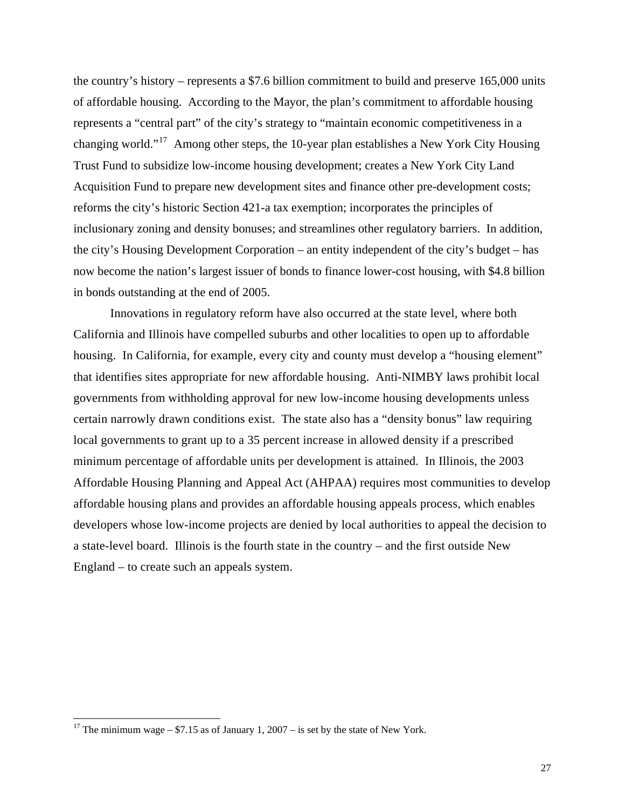the country's history – represents a \$7.6 billion commitment to build and preserve 165,000 units of affordable housing. According to the Mayor, the plan's commitment to affordable housing represents a "central part" of the city's strategy to "maintain economic competitiveness in a changing world."[17](#page-28-0) Among other steps, the 10-year plan establishes a New York City Housing Trust Fund to subsidize low-income housing development; creates a New York City Land Acquisition Fund to prepare new development sites and finance other pre-development costs; reforms the city's historic Section 421-a tax exemption; incorporates the principles of inclusionary zoning and density bonuses; and streamlines other regulatory barriers. In addition, the city's Housing Development Corporation – an entity independent of the city's budget – has now become the nation's largest issuer of bonds to finance lower-cost housing, with \$4.8 billion in bonds outstanding at the end of 2005.

Innovations in regulatory reform have also occurred at the state level, where both California and Illinois have compelled suburbs and other localities to open up to affordable housing. In California, for example, every city and county must develop a "housing element" that identifies sites appropriate for new affordable housing. Anti-NIMBY laws prohibit local governments from withholding approval for new low-income housing developments unless certain narrowly drawn conditions exist. The state also has a "density bonus" law requiring local governments to grant up to a 35 percent increase in allowed density if a prescribed minimum percentage of affordable units per development is attained. In Illinois, the 2003 Affordable Housing Planning and Appeal Act (AHPAA) requires most communities to develop affordable housing plans and provides an affordable housing appeals process, which enables developers whose low-income projects are denied by local authorities to appeal the decision to a state-level board. Illinois is the fourth state in the country – and the first outside New England – to create such an appeals system.

<span id="page-28-0"></span><sup>&</sup>lt;sup>17</sup> The minimum wage – \$7.15 as of January 1, 2007 – is set by the state of New York.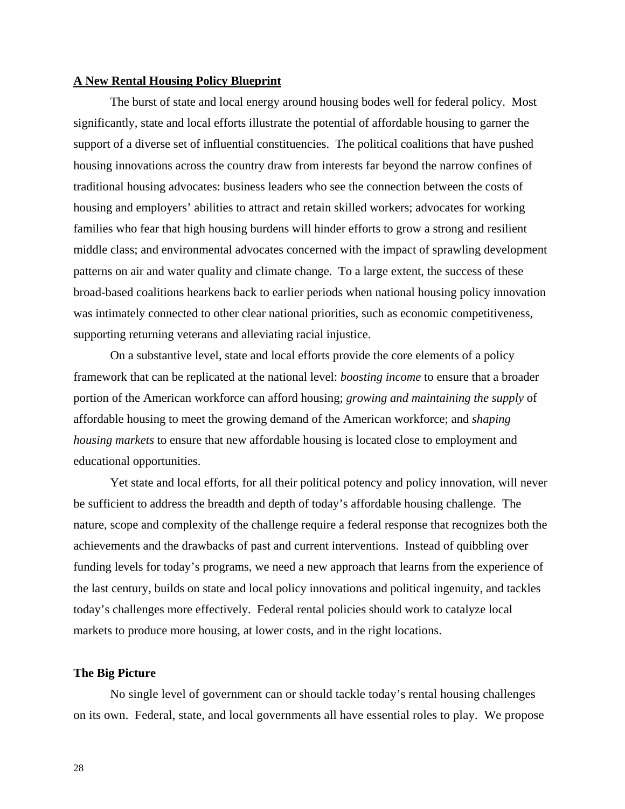#### **A New Rental Housing Policy Blueprint**

The burst of state and local energy around housing bodes well for federal policy. Most significantly, state and local efforts illustrate the potential of affordable housing to garner the support of a diverse set of influential constituencies. The political coalitions that have pushed housing innovations across the country draw from interests far beyond the narrow confines of traditional housing advocates: business leaders who see the connection between the costs of housing and employers' abilities to attract and retain skilled workers; advocates for working families who fear that high housing burdens will hinder efforts to grow a strong and resilient middle class; and environmental advocates concerned with the impact of sprawling development patterns on air and water quality and climate change. To a large extent, the success of these broad-based coalitions hearkens back to earlier periods when national housing policy innovation was intimately connected to other clear national priorities, such as economic competitiveness, supporting returning veterans and alleviating racial injustice.

On a substantive level, state and local efforts provide the core elements of a policy framework that can be replicated at the national level: *boosting income* to ensure that a broader portion of the American workforce can afford housing; *growing and maintaining the supply* of affordable housing to meet the growing demand of the American workforce; and *shaping housing markets* to ensure that new affordable housing is located close to employment and educational opportunities.

Yet state and local efforts, for all their political potency and policy innovation, will never be sufficient to address the breadth and depth of today's affordable housing challenge. The nature, scope and complexity of the challenge require a federal response that recognizes both the achievements and the drawbacks of past and current interventions. Instead of quibbling over funding levels for today's programs, we need a new approach that learns from the experience of the last century, builds on state and local policy innovations and political ingenuity, and tackles today's challenges more effectively. Federal rental policies should work to catalyze local markets to produce more housing, at lower costs, and in the right locations.

## **The Big Picture**

No single level of government can or should tackle today's rental housing challenges on its own. Federal, state, and local governments all have essential roles to play. We propose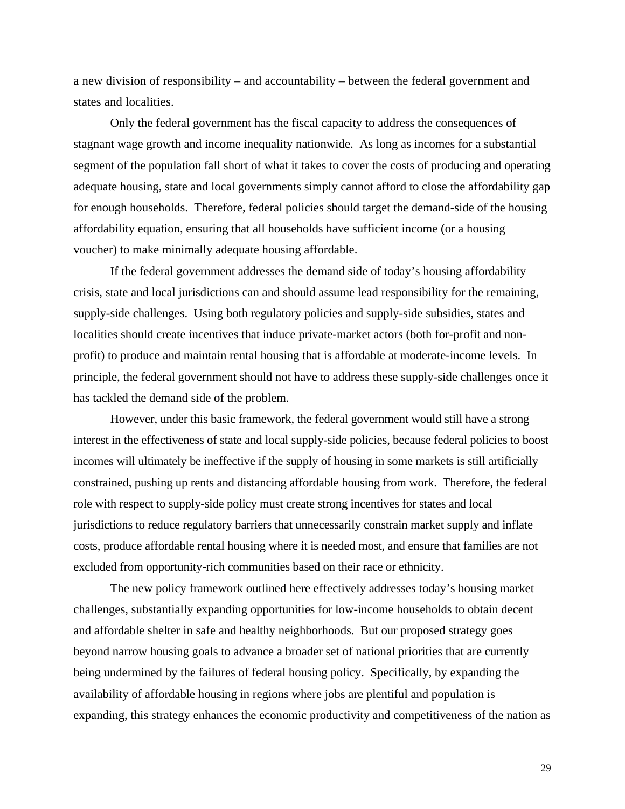a new division of responsibility – and accountability – between the federal government and states and localities.

Only the federal government has the fiscal capacity to address the consequences of stagnant wage growth and income inequality nationwide. As long as incomes for a substantial segment of the population fall short of what it takes to cover the costs of producing and operating adequate housing, state and local governments simply cannot afford to close the affordability gap for enough households. Therefore, federal policies should target the demand-side of the housing affordability equation, ensuring that all households have sufficient income (or a housing voucher) to make minimally adequate housing affordable.

If the federal government addresses the demand side of today's housing affordability crisis, state and local jurisdictions can and should assume lead responsibility for the remaining, supply-side challenges. Using both regulatory policies and supply-side subsidies, states and localities should create incentives that induce private-market actors (both for-profit and nonprofit) to produce and maintain rental housing that is affordable at moderate-income levels. In principle, the federal government should not have to address these supply-side challenges once it has tackled the demand side of the problem.

However, under this basic framework, the federal government would still have a strong interest in the effectiveness of state and local supply-side policies, because federal policies to boost incomes will ultimately be ineffective if the supply of housing in some markets is still artificially constrained, pushing up rents and distancing affordable housing from work. Therefore, the federal role with respect to supply-side policy must create strong incentives for states and local jurisdictions to reduce regulatory barriers that unnecessarily constrain market supply and inflate costs, produce affordable rental housing where it is needed most, and ensure that families are not excluded from opportunity-rich communities based on their race or ethnicity.

The new policy framework outlined here effectively addresses today's housing market challenges, substantially expanding opportunities for low-income households to obtain decent and affordable shelter in safe and healthy neighborhoods. But our proposed strategy goes beyond narrow housing goals to advance a broader set of national priorities that are currently being undermined by the failures of federal housing policy. Specifically, by expanding the availability of affordable housing in regions where jobs are plentiful and population is expanding, this strategy enhances the economic productivity and competitiveness of the nation as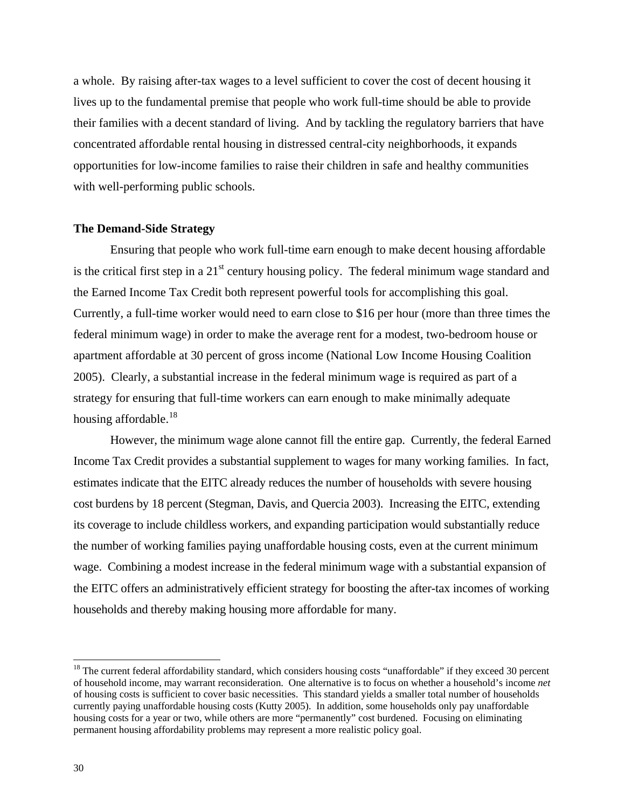a whole. By raising after-tax wages to a level sufficient to cover the cost of decent housing it lives up to the fundamental premise that people who work full-time should be able to provide their families with a decent standard of living. And by tackling the regulatory barriers that have concentrated affordable rental housing in distressed central-city neighborhoods, it expands opportunities for low-income families to raise their children in safe and healthy communities with well-performing public schools.

## **The Demand-Side Strategy**

Ensuring that people who work full-time earn enough to make decent housing affordable is the critical first step in a  $21<sup>st</sup>$  century housing policy. The federal minimum wage standard and the Earned Income Tax Credit both represent powerful tools for accomplishing this goal. Currently, a full-time worker would need to earn close to \$16 per hour (more than three times the federal minimum wage) in order to make the average rent for a modest, two-bedroom house or apartment affordable at 30 percent of gross income (National Low Income Housing Coalition 2005). Clearly, a substantial increase in the federal minimum wage is required as part of a strategy for ensuring that full-time workers can earn enough to make minimally adequate housing affordable.<sup>[18](#page-31-0)</sup>

However, the minimum wage alone cannot fill the entire gap. Currently, the federal Earned Income Tax Credit provides a substantial supplement to wages for many working families. In fact, estimates indicate that the EITC already reduces the number of households with severe housing cost burdens by 18 percent (Stegman, Davis, and Quercia 2003). Increasing the EITC, extending its coverage to include childless workers, and expanding participation would substantially reduce the number of working families paying unaffordable housing costs, even at the current minimum wage. Combining a modest increase in the federal minimum wage with a substantial expansion of the EITC offers an administratively efficient strategy for boosting the after-tax incomes of working households and thereby making housing more affordable for many.

<span id="page-31-0"></span> $18$  The current federal affordability standard, which considers housing costs "unaffordable" if they exceed 30 percent of household income, may warrant reconsideration. One alternative is to focus on whether a household's income *net* of housing costs is sufficient to cover basic necessities. This standard yields a smaller total number of households currently paying unaffordable housing costs (Kutty 2005). In addition, some households only pay unaffordable housing costs for a year or two, while others are more "permanently" cost burdened. Focusing on eliminating permanent housing affordability problems may represent a more realistic policy goal.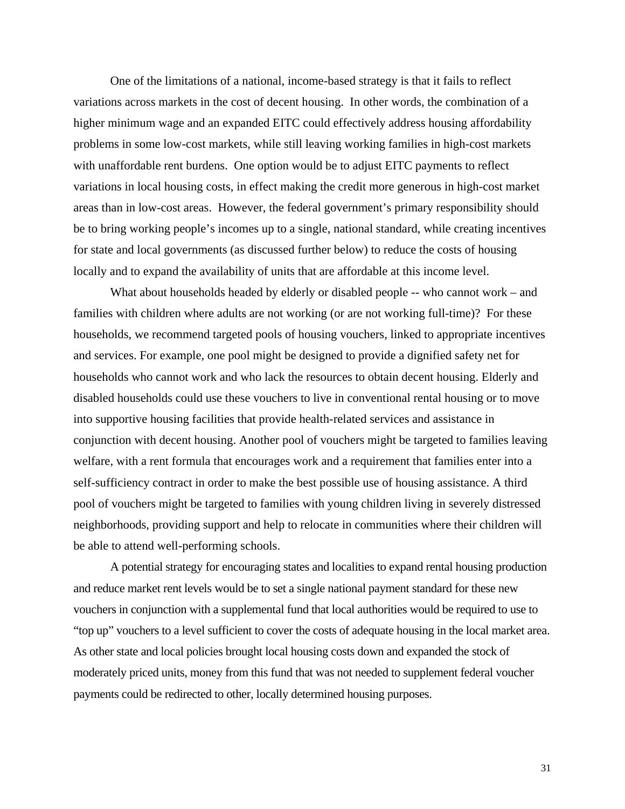One of the limitations of a national, income-based strategy is that it fails to reflect variations across markets in the cost of decent housing. In other words, the combination of a higher minimum wage and an expanded EITC could effectively address housing affordability problems in some low-cost markets, while still leaving working families in high-cost markets with unaffordable rent burdens. One option would be to adjust EITC payments to reflect variations in local housing costs, in effect making the credit more generous in high-cost market areas than in low-cost areas. However, the federal government's primary responsibility should be to bring working people's incomes up to a single, national standard, while creating incentives for state and local governments (as discussed further below) to reduce the costs of housing locally and to expand the availability of units that are affordable at this income level.

What about households headed by elderly or disabled people -- who cannot work – and families with children where adults are not working (or are not working full-time)? For these households, we recommend targeted pools of housing vouchers, linked to appropriate incentives and services. For example, one pool might be designed to provide a dignified safety net for households who cannot work and who lack the resources to obtain decent housing. Elderly and disabled households could use these vouchers to live in conventional rental housing or to move into supportive housing facilities that provide health-related services and assistance in conjunction with decent housing. Another pool of vouchers might be targeted to families leaving welfare, with a rent formula that encourages work and a requirement that families enter into a self-sufficiency contract in order to make the best possible use of housing assistance. A third pool of vouchers might be targeted to families with young children living in severely distressed neighborhoods, providing support and help to relocate in communities where their children will be able to attend well-performing schools.

A potential strategy for encouraging states and localities to expand rental housing production and reduce market rent levels would be to set a single national payment standard for these new vouchers in conjunction with a supplemental fund that local authorities would be required to use to "top up" vouchers to a level sufficient to cover the costs of adequate housing in the local market area. As other state and local policies brought local housing costs down and expanded the stock of moderately priced units, money from this fund that was not needed to supplement federal voucher payments could be redirected to other, locally determined housing purposes.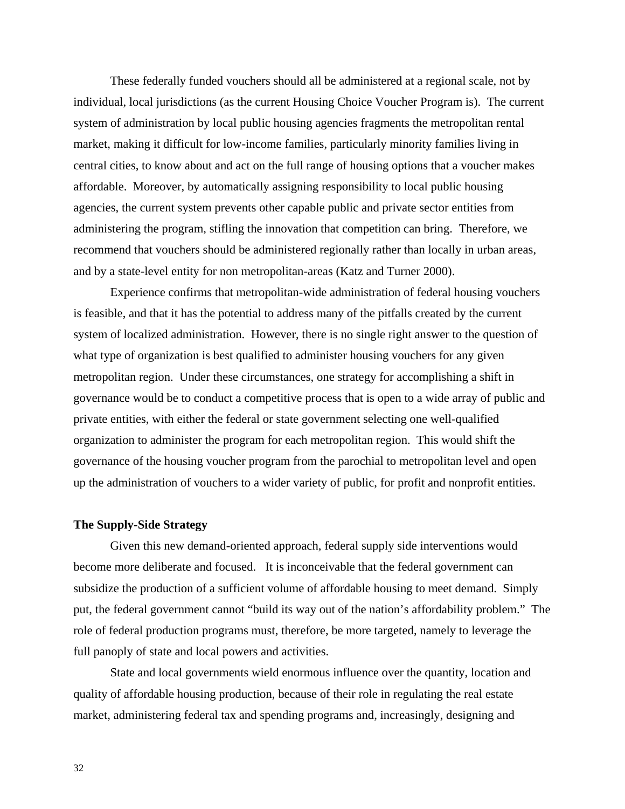These federally funded vouchers should all be administered at a regional scale, not by individual, local jurisdictions (as the current Housing Choice Voucher Program is). The current system of administration by local public housing agencies fragments the metropolitan rental market, making it difficult for low-income families, particularly minority families living in central cities, to know about and act on the full range of housing options that a voucher makes affordable. Moreover, by automatically assigning responsibility to local public housing agencies, the current system prevents other capable public and private sector entities from administering the program, stifling the innovation that competition can bring. Therefore, we recommend that vouchers should be administered regionally rather than locally in urban areas, and by a state-level entity for non metropolitan-areas (Katz and Turner 2000).

Experience confirms that metropolitan-wide administration of federal housing vouchers is feasible, and that it has the potential to address many of the pitfalls created by the current system of localized administration. However, there is no single right answer to the question of what type of organization is best qualified to administer housing vouchers for any given metropolitan region. Under these circumstances, one strategy for accomplishing a shift in governance would be to conduct a competitive process that is open to a wide array of public and private entities, with either the federal or state government selecting one well-qualified organization to administer the program for each metropolitan region. This would shift the governance of the housing voucher program from the parochial to metropolitan level and open up the administration of vouchers to a wider variety of public, for profit and nonprofit entities.

## **The Supply-Side Strategy**

Given this new demand-oriented approach, federal supply side interventions would become more deliberate and focused. It is inconceivable that the federal government can subsidize the production of a sufficient volume of affordable housing to meet demand. Simply put, the federal government cannot "build its way out of the nation's affordability problem." The role of federal production programs must, therefore, be more targeted, namely to leverage the full panoply of state and local powers and activities.

State and local governments wield enormous influence over the quantity, location and quality of affordable housing production, because of their role in regulating the real estate market, administering federal tax and spending programs and, increasingly, designing and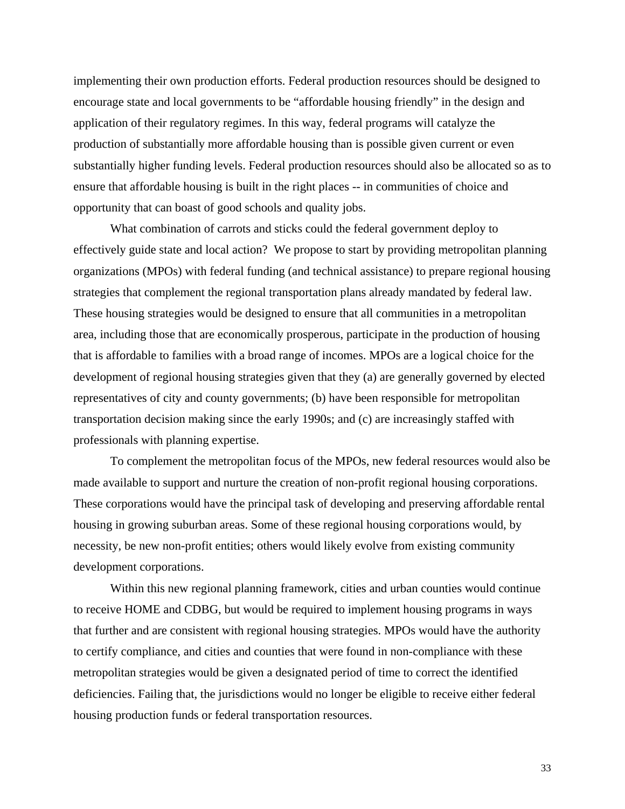implementing their own production efforts. Federal production resources should be designed to encourage state and local governments to be "affordable housing friendly" in the design and application of their regulatory regimes. In this way, federal programs will catalyze the production of substantially more affordable housing than is possible given current or even substantially higher funding levels. Federal production resources should also be allocated so as to ensure that affordable housing is built in the right places -- in communities of choice and opportunity that can boast of good schools and quality jobs.

What combination of carrots and sticks could the federal government deploy to effectively guide state and local action? We propose to start by providing metropolitan planning organizations (MPOs) with federal funding (and technical assistance) to prepare regional housing strategies that complement the regional transportation plans already mandated by federal law. These housing strategies would be designed to ensure that all communities in a metropolitan area, including those that are economically prosperous, participate in the production of housing that is affordable to families with a broad range of incomes. MPOs are a logical choice for the development of regional housing strategies given that they (a) are generally governed by elected representatives of city and county governments; (b) have been responsible for metropolitan transportation decision making since the early 1990s; and (c) are increasingly staffed with professionals with planning expertise.

To complement the metropolitan focus of the MPOs, new federal resources would also be made available to support and nurture the creation of non-profit regional housing corporations. These corporations would have the principal task of developing and preserving affordable rental housing in growing suburban areas. Some of these regional housing corporations would, by necessity, be new non-profit entities; others would likely evolve from existing community development corporations.

Within this new regional planning framework, cities and urban counties would continue to receive HOME and CDBG, but would be required to implement housing programs in ways that further and are consistent with regional housing strategies. MPOs would have the authority to certify compliance, and cities and counties that were found in non-compliance with these metropolitan strategies would be given a designated period of time to correct the identified deficiencies. Failing that, the jurisdictions would no longer be eligible to receive either federal housing production funds or federal transportation resources.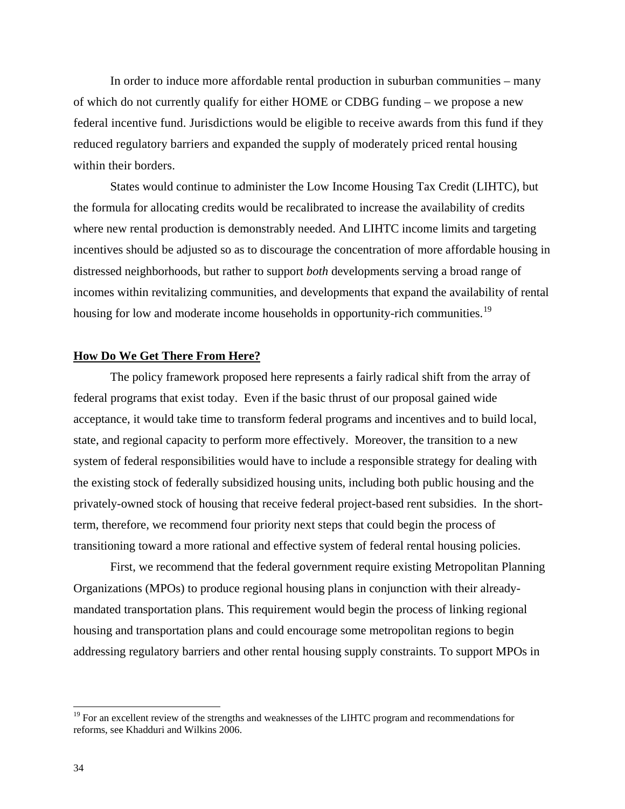In order to induce more affordable rental production in suburban communities – many of which do not currently qualify for either HOME or CDBG funding – we propose a new federal incentive fund. Jurisdictions would be eligible to receive awards from this fund if they reduced regulatory barriers and expanded the supply of moderately priced rental housing within their borders.

States would continue to administer the Low Income Housing Tax Credit (LIHTC), but the formula for allocating credits would be recalibrated to increase the availability of credits where new rental production is demonstrably needed. And LIHTC income limits and targeting incentives should be adjusted so as to discourage the concentration of more affordable housing in distressed neighborhoods, but rather to support *both* developments serving a broad range of incomes within revitalizing communities, and developments that expand the availability of rental housing for low and moderate income households in opportunity-rich communities.<sup>[19](#page-35-0)</sup>

## **How Do We Get There From Here?**

The policy framework proposed here represents a fairly radical shift from the array of federal programs that exist today. Even if the basic thrust of our proposal gained wide acceptance, it would take time to transform federal programs and incentives and to build local, state, and regional capacity to perform more effectively. Moreover, the transition to a new system of federal responsibilities would have to include a responsible strategy for dealing with the existing stock of federally subsidized housing units, including both public housing and the privately-owned stock of housing that receive federal project-based rent subsidies. In the shortterm, therefore, we recommend four priority next steps that could begin the process of transitioning toward a more rational and effective system of federal rental housing policies.

First, we recommend that the federal government require existing Metropolitan Planning Organizations (MPOs) to produce regional housing plans in conjunction with their alreadymandated transportation plans. This requirement would begin the process of linking regional housing and transportation plans and could encourage some metropolitan regions to begin addressing regulatory barriers and other rental housing supply constraints. To support MPOs in

<span id="page-35-0"></span><sup>&</sup>lt;sup>19</sup> For an excellent review of the strengths and weaknesses of the LIHTC program and recommendations for reforms, see Khadduri and Wilkins 2006.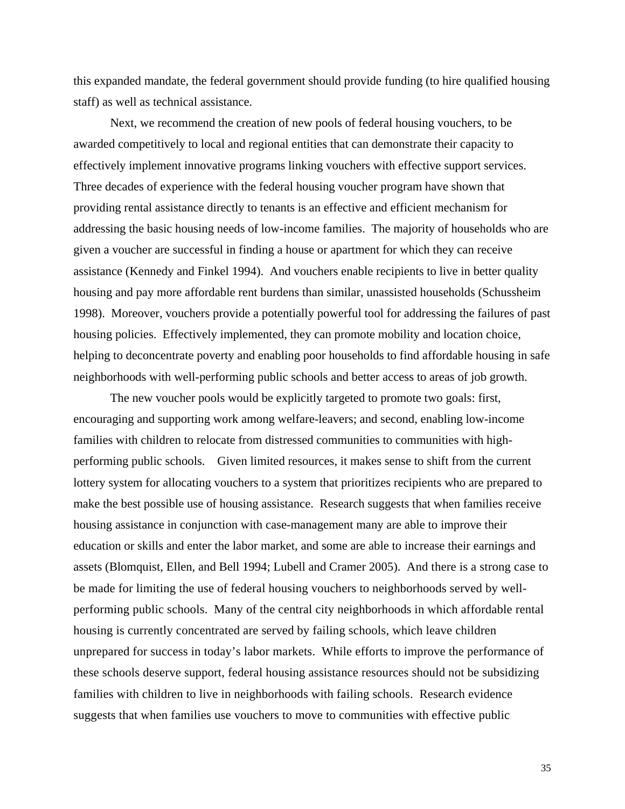this expanded mandate, the federal government should provide funding (to hire qualified housing staff) as well as technical assistance.

Next, we recommend the creation of new pools of federal housing vouchers, to be awarded competitively to local and regional entities that can demonstrate their capacity to effectively implement innovative programs linking vouchers with effective support services. Three decades of experience with the federal housing voucher program have shown that providing rental assistance directly to tenants is an effective and efficient mechanism for addressing the basic housing needs of low-income families. The majority of households who are given a voucher are successful in finding a house or apartment for which they can receive assistance (Kennedy and Finkel 1994). And vouchers enable recipients to live in better quality housing and pay more affordable rent burdens than similar, unassisted households (Schussheim 1998). Moreover, vouchers provide a potentially powerful tool for addressing the failures of past housing policies. Effectively implemented, they can promote mobility and location choice, helping to deconcentrate poverty and enabling poor households to find affordable housing in safe neighborhoods with well-performing public schools and better access to areas of job growth.

The new voucher pools would be explicitly targeted to promote two goals: first, encouraging and supporting work among welfare-leavers; and second, enabling low-income families with children to relocate from distressed communities to communities with highperforming public schools. Given limited resources, it makes sense to shift from the current lottery system for allocating vouchers to a system that prioritizes recipients who are prepared to make the best possible use of housing assistance. Research suggests that when families receive housing assistance in conjunction with case-management many are able to improve their education or skills and enter the labor market, and some are able to increase their earnings and assets (Blomquist, Ellen, and Bell 1994; Lubell and Cramer 2005). And there is a strong case to be made for limiting the use of federal housing vouchers to neighborhoods served by wellperforming public schools. Many of the central city neighborhoods in which affordable rental housing is currently concentrated are served by failing schools, which leave children unprepared for success in today's labor markets. While efforts to improve the performance of these schools deserve support, federal housing assistance resources should not be subsidizing families with children to live in neighborhoods with failing schools. Research evidence suggests that when families use vouchers to move to communities with effective public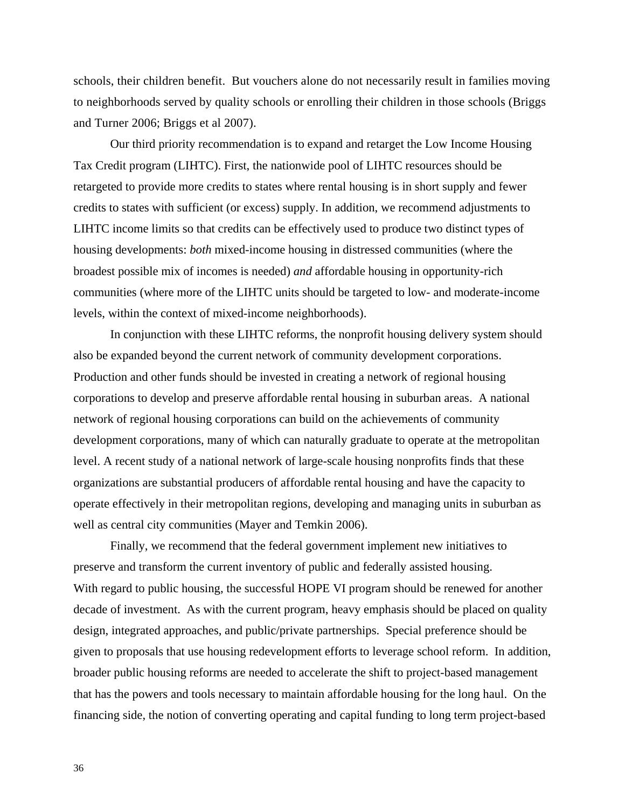schools, their children benefit. But vouchers alone do not necessarily result in families moving to neighborhoods served by quality schools or enrolling their children in those schools (Briggs and Turner 2006; Briggs et al 2007).

Our third priority recommendation is to expand and retarget the Low Income Housing Tax Credit program (LIHTC). First, the nationwide pool of LIHTC resources should be retargeted to provide more credits to states where rental housing is in short supply and fewer credits to states with sufficient (or excess) supply. In addition, we recommend adjustments to LIHTC income limits so that credits can be effectively used to produce two distinct types of housing developments: *both* mixed-income housing in distressed communities (where the broadest possible mix of incomes is needed) *and* affordable housing in opportunity-rich communities (where more of the LIHTC units should be targeted to low- and moderate-income levels, within the context of mixed-income neighborhoods).

In conjunction with these LIHTC reforms, the nonprofit housing delivery system should also be expanded beyond the current network of community development corporations. Production and other funds should be invested in creating a network of regional housing corporations to develop and preserve affordable rental housing in suburban areas. A national network of regional housing corporations can build on the achievements of community development corporations, many of which can naturally graduate to operate at the metropolitan level. A recent study of a national network of large-scale housing nonprofits finds that these organizations are substantial producers of affordable rental housing and have the capacity to operate effectively in their metropolitan regions, developing and managing units in suburban as well as central city communities (Mayer and Temkin 2006).

Finally, we recommend that the federal government implement new initiatives to preserve and transform the current inventory of public and federally assisted housing. With regard to public housing, the successful HOPE VI program should be renewed for another decade of investment. As with the current program, heavy emphasis should be placed on quality design, integrated approaches, and public/private partnerships. Special preference should be given to proposals that use housing redevelopment efforts to leverage school reform. In addition, broader public housing reforms are needed to accelerate the shift to project-based management that has the powers and tools necessary to maintain affordable housing for the long haul. On the financing side, the notion of converting operating and capital funding to long term project-based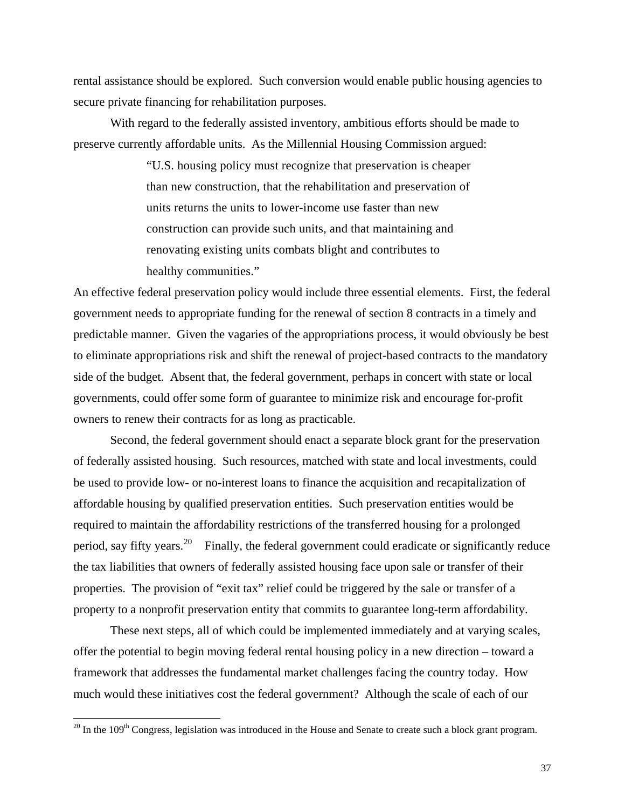rental assistance should be explored. Such conversion would enable public housing agencies to secure private financing for rehabilitation purposes.

With regard to the federally assisted inventory, ambitious efforts should be made to preserve currently affordable units. As the Millennial Housing Commission argued:

> "U.S. housing policy must recognize that preservation is cheaper than new construction, that the rehabilitation and preservation of units returns the units to lower-income use faster than new construction can provide such units, and that maintaining and renovating existing units combats blight and contributes to healthy communities."

An effective federal preservation policy would include three essential elements. First, the federal government needs to appropriate funding for the renewal of section 8 contracts in a timely and predictable manner. Given the vagaries of the appropriations process, it would obviously be best to eliminate appropriations risk and shift the renewal of project-based contracts to the mandatory side of the budget. Absent that, the federal government, perhaps in concert with state or local governments, could offer some form of guarantee to minimize risk and encourage for-profit owners to renew their contracts for as long as practicable.

Second, the federal government should enact a separate block grant for the preservation of federally assisted housing. Such resources, matched with state and local investments, could be used to provide low- or no-interest loans to finance the acquisition and recapitalization of affordable housing by qualified preservation entities. Such preservation entities would be required to maintain the affordability restrictions of the transferred housing for a prolonged period, say fifty years.<sup>[20](#page-38-0)</sup> Finally, the federal government could eradicate or significantly reduce the tax liabilities that owners of federally assisted housing face upon sale or transfer of their properties. The provision of "exit tax" relief could be triggered by the sale or transfer of a property to a nonprofit preservation entity that commits to guarantee long-term affordability.

These next steps, all of which could be implemented immediately and at varying scales, offer the potential to begin moving federal rental housing policy in a new direction – toward a framework that addresses the fundamental market challenges facing the country today. How much would these initiatives cost the federal government? Although the scale of each of our

<span id="page-38-0"></span> $^{20}$  In the 109<sup>th</sup> Congress, legislation was introduced in the House and Senate to create such a block grant program.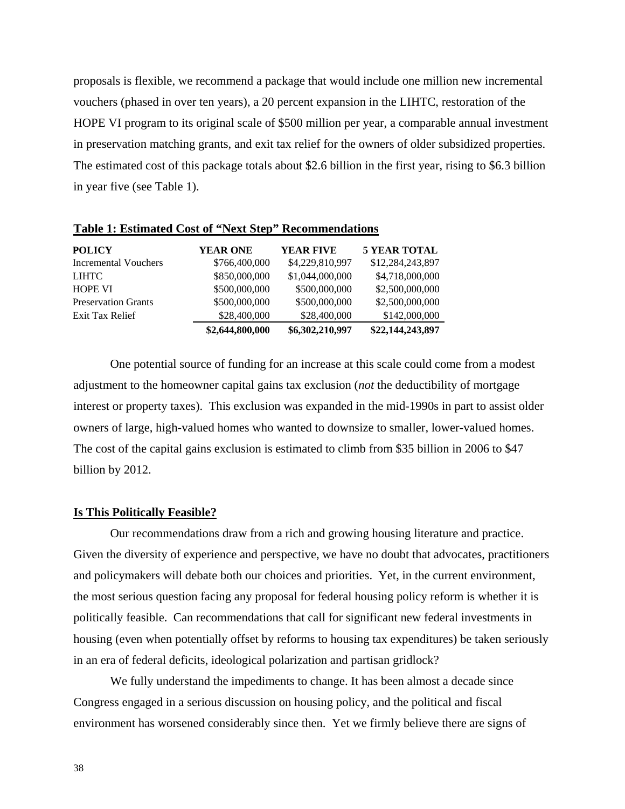proposals is flexible, we recommend a package that would include one million new incremental vouchers (phased in over ten years), a 20 percent expansion in the LIHTC, restoration of the HOPE VI program to its original scale of \$500 million per year, a comparable annual investment in preservation matching grants, and exit tax relief for the owners of older subsidized properties. The estimated cost of this package totals about \$2.6 billion in the first year, rising to \$6.3 billion in year five (see Table 1).

| <b>POLICY</b>              | <b>YEAR ONE</b> | <b>YEAR FIVE</b> | <b>5 YEAR TOTAL</b> |
|----------------------------|-----------------|------------------|---------------------|
| Incremental Vouchers       | \$766,400,000   | \$4,229,810,997  | \$12,284,243,897    |
| <b>LIHTC</b>               | \$850,000,000   | \$1,044,000,000  | \$4,718,000,000     |
| <b>HOPE VI</b>             | \$500,000,000   | \$500,000,000    | \$2,500,000,000     |
| <b>Preservation Grants</b> | \$500,000,000   | \$500,000,000    | \$2,500,000,000     |
| Exit Tax Relief            | \$28,400,000    | \$28,400,000     | \$142,000,000       |
|                            | \$2,644,800,000 | \$6,302,210,997  | \$22,144,243,897    |

# **Table 1: Estimated Cost of "Next Step" Recommendations**

One potential source of funding for an increase at this scale could come from a modest adjustment to the homeowner capital gains tax exclusion (*not* the deductibility of mortgage interest or property taxes). This exclusion was expanded in the mid-1990s in part to assist older owners of large, high-valued homes who wanted to downsize to smaller, lower-valued homes. The cost of the capital gains exclusion is estimated to climb from \$35 billion in 2006 to \$47 billion by 2012.

#### **Is This Politically Feasible?**

Our recommendations draw from a rich and growing housing literature and practice. Given the diversity of experience and perspective, we have no doubt that advocates, practitioners and policymakers will debate both our choices and priorities. Yet, in the current environment, the most serious question facing any proposal for federal housing policy reform is whether it is politically feasible. Can recommendations that call for significant new federal investments in housing (even when potentially offset by reforms to housing tax expenditures) be taken seriously in an era of federal deficits, ideological polarization and partisan gridlock?

We fully understand the impediments to change. It has been almost a decade since Congress engaged in a serious discussion on housing policy, and the political and fiscal environment has worsened considerably since then. Yet we firmly believe there are signs of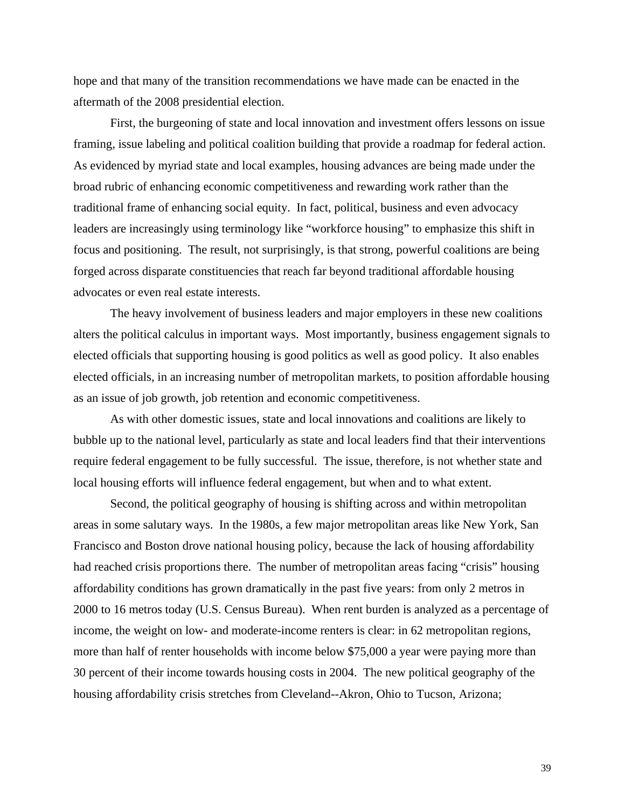hope and that many of the transition recommendations we have made can be enacted in the aftermath of the 2008 presidential election.

First, the burgeoning of state and local innovation and investment offers lessons on issue framing, issue labeling and political coalition building that provide a roadmap for federal action. As evidenced by myriad state and local examples, housing advances are being made under the broad rubric of enhancing economic competitiveness and rewarding work rather than the traditional frame of enhancing social equity. In fact, political, business and even advocacy leaders are increasingly using terminology like "workforce housing" to emphasize this shift in focus and positioning. The result, not surprisingly, is that strong, powerful coalitions are being forged across disparate constituencies that reach far beyond traditional affordable housing advocates or even real estate interests.

The heavy involvement of business leaders and major employers in these new coalitions alters the political calculus in important ways. Most importantly, business engagement signals to elected officials that supporting housing is good politics as well as good policy. It also enables elected officials, in an increasing number of metropolitan markets, to position affordable housing as an issue of job growth, job retention and economic competitiveness.

As with other domestic issues, state and local innovations and coalitions are likely to bubble up to the national level, particularly as state and local leaders find that their interventions require federal engagement to be fully successful. The issue, therefore, is not whether state and local housing efforts will influence federal engagement, but when and to what extent.

Second, the political geography of housing is shifting across and within metropolitan areas in some salutary ways. In the 1980s, a few major metropolitan areas like New York, San Francisco and Boston drove national housing policy, because the lack of housing affordability had reached crisis proportions there. The number of metropolitan areas facing "crisis" housing affordability conditions has grown dramatically in the past five years: from only 2 metros in 2000 to 16 metros today (U.S. Census Bureau). When rent burden is analyzed as a percentage of income, the weight on low- and moderate-income renters is clear: in 62 metropolitan regions, more than half of renter households with income below \$75,000 a year were paying more than 30 percent of their income towards housing costs in 2004. The new political geography of the housing affordability crisis stretches from Cleveland--Akron, Ohio to Tucson, Arizona;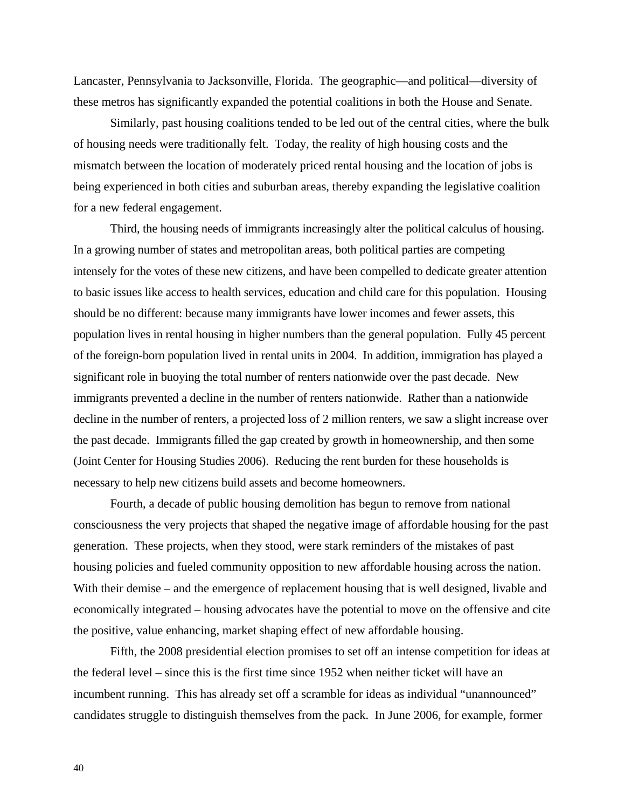Lancaster, Pennsylvania to Jacksonville, Florida. The geographic—and political—diversity of these metros has significantly expanded the potential coalitions in both the House and Senate.

Similarly, past housing coalitions tended to be led out of the central cities, where the bulk of housing needs were traditionally felt. Today, the reality of high housing costs and the mismatch between the location of moderately priced rental housing and the location of jobs is being experienced in both cities and suburban areas, thereby expanding the legislative coalition for a new federal engagement.

Third, the housing needs of immigrants increasingly alter the political calculus of housing. In a growing number of states and metropolitan areas, both political parties are competing intensely for the votes of these new citizens, and have been compelled to dedicate greater attention to basic issues like access to health services, education and child care for this population. Housing should be no different: because many immigrants have lower incomes and fewer assets, this population lives in rental housing in higher numbers than the general population. Fully 45 percent of the foreign-born population lived in rental units in 2004. In addition, immigration has played a significant role in buoying the total number of renters nationwide over the past decade. New immigrants prevented a decline in the number of renters nationwide. Rather than a nationwide decline in the number of renters, a projected loss of 2 million renters, we saw a slight increase over the past decade. Immigrants filled the gap created by growth in homeownership, and then some (Joint Center for Housing Studies 2006). Reducing the rent burden for these households is necessary to help new citizens build assets and become homeowners.

Fourth, a decade of public housing demolition has begun to remove from national consciousness the very projects that shaped the negative image of affordable housing for the past generation. These projects, when they stood, were stark reminders of the mistakes of past housing policies and fueled community opposition to new affordable housing across the nation. With their demise – and the emergence of replacement housing that is well designed, livable and economically integrated – housing advocates have the potential to move on the offensive and cite the positive, value enhancing, market shaping effect of new affordable housing.

Fifth, the 2008 presidential election promises to set off an intense competition for ideas at the federal level – since this is the first time since 1952 when neither ticket will have an incumbent running. This has already set off a scramble for ideas as individual "unannounced" candidates struggle to distinguish themselves from the pack. In June 2006, for example, former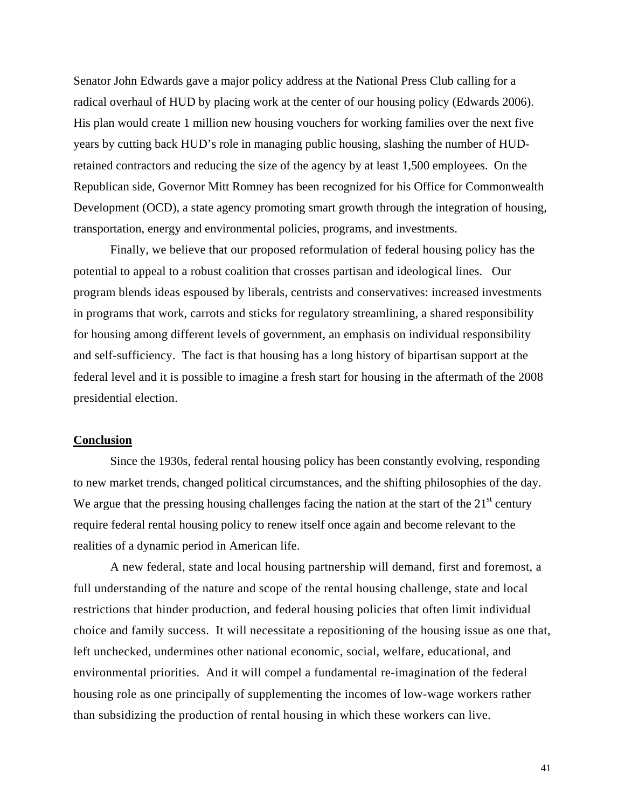Senator John Edwards gave a major policy address at the National Press Club calling for a radical overhaul of HUD by placing work at the center of our housing policy (Edwards 2006). His plan would create 1 million new housing vouchers for working families over the next five years by cutting back HUD's role in managing public housing, slashing the number of HUDretained contractors and reducing the size of the agency by at least 1,500 employees. On the Republican side, Governor Mitt Romney has been recognized for his Office for Commonwealth Development (OCD), a state agency promoting smart growth through the integration of housing, transportation, energy and environmental policies, programs, and investments.

Finally, we believe that our proposed reformulation of federal housing policy has the potential to appeal to a robust coalition that crosses partisan and ideological lines. Our program blends ideas espoused by liberals, centrists and conservatives: increased investments in programs that work, carrots and sticks for regulatory streamlining, a shared responsibility for housing among different levels of government, an emphasis on individual responsibility and self-sufficiency. The fact is that housing has a long history of bipartisan support at the federal level and it is possible to imagine a fresh start for housing in the aftermath of the 2008 presidential election.

## **Conclusion**

Since the 1930s, federal rental housing policy has been constantly evolving, responding to new market trends, changed political circumstances, and the shifting philosophies of the day. We argue that the pressing housing challenges facing the nation at the start of the  $21<sup>st</sup>$  century require federal rental housing policy to renew itself once again and become relevant to the realities of a dynamic period in American life.

A new federal, state and local housing partnership will demand, first and foremost, a full understanding of the nature and scope of the rental housing challenge, state and local restrictions that hinder production, and federal housing policies that often limit individual choice and family success. It will necessitate a repositioning of the housing issue as one that, left unchecked, undermines other national economic, social, welfare, educational, and environmental priorities. And it will compel a fundamental re-imagination of the federal housing role as one principally of supplementing the incomes of low-wage workers rather than subsidizing the production of rental housing in which these workers can live.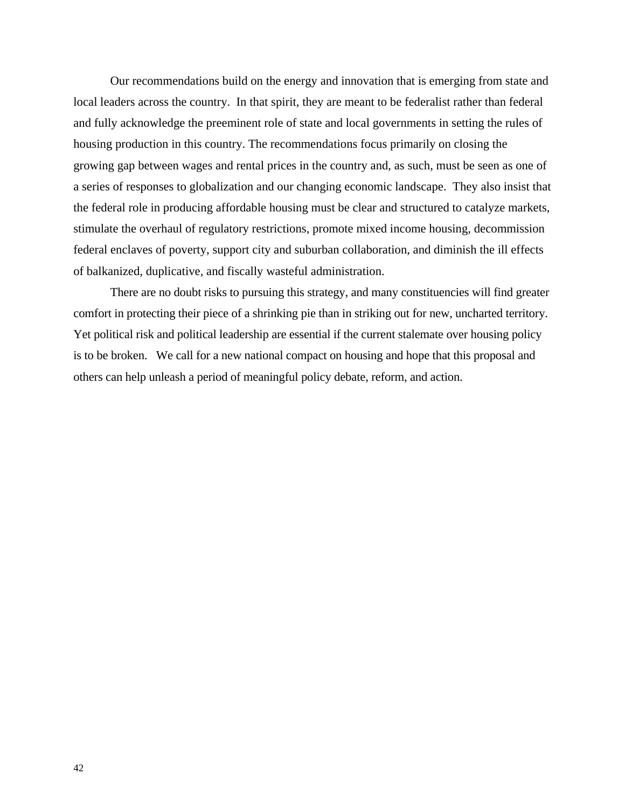Our recommendations build on the energy and innovation that is emerging from state and local leaders across the country. In that spirit, they are meant to be federalist rather than federal and fully acknowledge the preeminent role of state and local governments in setting the rules of housing production in this country. The recommendations focus primarily on closing the growing gap between wages and rental prices in the country and, as such, must be seen as one of a series of responses to globalization and our changing economic landscape. They also insist that the federal role in producing affordable housing must be clear and structured to catalyze markets, stimulate the overhaul of regulatory restrictions, promote mixed income housing, decommission federal enclaves of poverty, support city and suburban collaboration, and diminish the ill effects of balkanized, duplicative, and fiscally wasteful administration.

There are no doubt risks to pursuing this strategy, and many constituencies will find greater comfort in protecting their piece of a shrinking pie than in striking out for new, uncharted territory. Yet political risk and political leadership are essential if the current stalemate over housing policy is to be broken. We call for a new national compact on housing and hope that this proposal and others can help unleash a period of meaningful policy debate, reform, and action.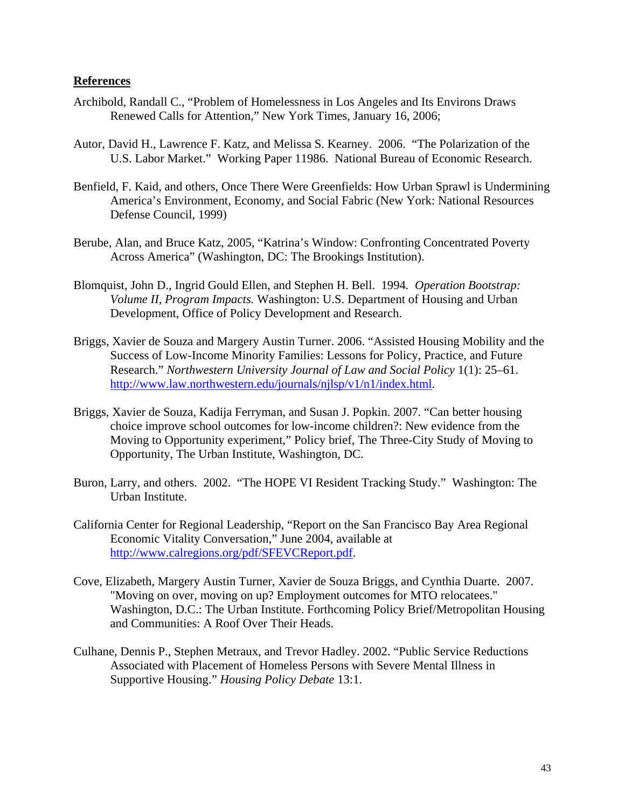## **References**

- Archibold, Randall C., "Problem of Homelessness in Los Angeles and Its Environs Draws Renewed Calls for Attention," New York Times, January 16, 2006;
- Autor, David H., Lawrence F. Katz, and Melissa S. Kearney. 2006. "The Polarization of the U.S. Labor Market." Working Paper 11986. National Bureau of Economic Research.
- Benfield, F. Kaid, and others, Once There Were Greenfields: How Urban Sprawl is Undermining America's Environment, Economy, and Social Fabric (New York: National Resources Defense Council, 1999)
- Berube, Alan, and Bruce Katz, 2005, "Katrina's Window: Confronting Concentrated Poverty Across America" (Washington, DC: The Brookings Institution).
- Blomquist, John D., Ingrid Gould Ellen, and Stephen H. Bell. 1994*. Operation Bootstrap: Volume II, Program Impacts.* Washington: U.S. Department of Housing and Urban Development, Office of Policy Development and Research.
- Briggs, Xavier de Souza and Margery Austin Turner. 2006. "Assisted Housing Mobility and the Success of Low-Income Minority Families: Lessons for Policy, Practice, and Future Research." *Northwestern University Journal of Law and Social Policy* 1(1): 25–61. <http://www.law.northwestern.edu/journals/njlsp/v1/n1/index.html>.
- Briggs, Xavier de Souza, Kadija Ferryman, and Susan J. Popkin. 2007. "Can better housing choice improve school outcomes for low-income children?: New evidence from the Moving to Opportunity experiment," Policy brief, The Three-City Study of Moving to Opportunity, The Urban Institute, Washington, DC.
- Buron, Larry, and others. 2002. "The HOPE VI Resident Tracking Study." Washington: The Urban Institute.
- California Center for Regional Leadership, "Report on the San Francisco Bay Area Regional Economic Vitality Conversation," June 2004, available at [http://www.calregions.org/pdf/SFEVCReport.pdf.](http://www.calregions.org/pdf/SFEVCReport.pdf)
- Cove, Elizabeth, Margery Austin Turner, Xavier de Souza Briggs, and Cynthia Duarte. 2007. "Moving on over, moving on up? Employment outcomes for MTO relocatees." Washington, D.C.: The Urban Institute. Forthcoming Policy Brief/Metropolitan Housing and Communities: A Roof Over Their Heads.
- Culhane, Dennis P., Stephen Metraux, and Trevor Hadley. 2002. "Public Service Reductions Associated with Placement of Homeless Persons with Severe Mental Illness in Supportive Housing." *Housing Policy Debate* 13:1.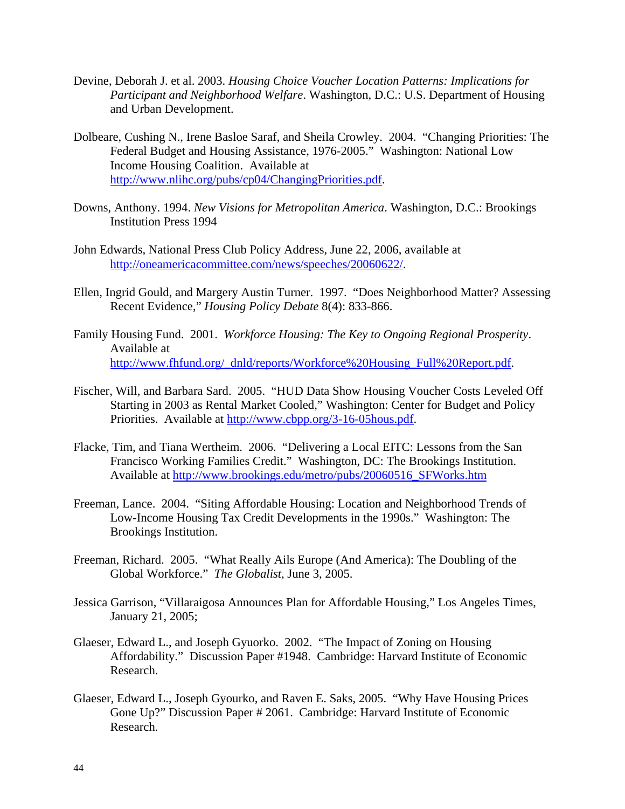- Devine, Deborah J. et al. 2003. *Housing Choice Voucher Location Patterns: Implications for Participant and Neighborhood Welfare*. Washington, D.C.: U.S. Department of Housing and Urban Development.
- Dolbeare, Cushing N., Irene Basloe Saraf, and Sheila Crowley. 2004. "Changing Priorities: The Federal Budget and Housing Assistance, 1976-2005." Washington: National Low Income Housing Coalition. Available at <http://www.nlihc.org/pubs/cp04/ChangingPriorities.pdf>.
- Downs, Anthony. 1994. *New Visions for Metropolitan America*. Washington, D.C.: Brookings Institution Press 1994
- John Edwards, National Press Club Policy Address, June 22, 2006, available at [http://oneamericacommittee.com/news/speeches/20060622/.](http://oneamericacommittee.com/news/speeches/20060622/)
- Ellen, Ingrid Gould, and Margery Austin Turner. 1997. "Does Neighborhood Matter? Assessing Recent Evidence," *Housing Policy Debate* 8(4): 833-866.
- Family Housing Fund. 2001. *Workforce Housing: The Key to Ongoing Regional Prosperity*. Available at [http://www.fhfund.org/\\_dnld/reports/Workforce%20Housing\\_Full%20Report.pdf.](http://www.fhfund.org/_dnld/reports/Workforce%20Housing_Full%20Report.pdf)
- Fischer, Will, and Barbara Sard. 2005. "HUD Data Show Housing Voucher Costs Leveled Off Starting in 2003 as Rental Market Cooled," Washington: Center for Budget and Policy Priorities. Available at<http://www.cbpp.org/3-16-05hous.pdf>.
- Flacke, Tim, and Tiana Wertheim. 2006. "Delivering a Local EITC: Lessons from the San Francisco Working Families Credit." Washington, DC: The Brookings Institution. Available at [http://www.brookings.edu/metro/pubs/20060516\\_SFWorks.htm](http://www.brookings.edu/metro/pubs/20060516_SFWorks.htm)
- Freeman, Lance. 2004. "Siting Affordable Housing: Location and Neighborhood Trends of Low-Income Housing Tax Credit Developments in the 1990s." Washington: The Brookings Institution.
- Freeman, Richard. 2005. "What Really Ails Europe (And America): The Doubling of the Global Workforce." *The Globalist,* June 3, 2005.
- Jessica Garrison, "Villaraigosa Announces Plan for Affordable Housing," Los Angeles Times, January 21, 2005;
- Glaeser, Edward L., and Joseph Gyuorko. 2002. "The Impact of Zoning on Housing Affordability." Discussion Paper #1948. Cambridge: Harvard Institute of Economic Research.
- Glaeser, Edward L., Joseph Gyourko, and Raven E. Saks, 2005. "Why Have Housing Prices Gone Up?" Discussion Paper # 2061. Cambridge: Harvard Institute of Economic Research.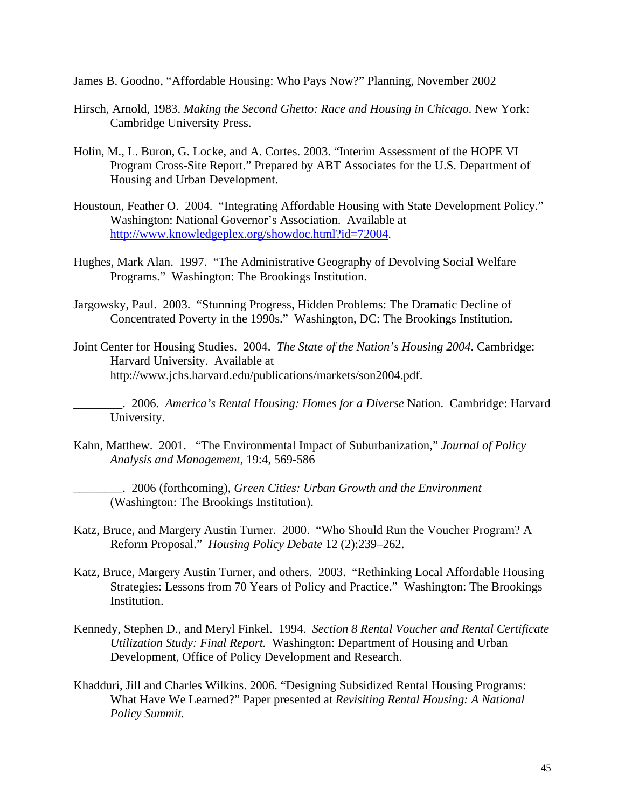James B. Goodno, "Affordable Housing: Who Pays Now?" Planning, November 2002

- Hirsch, Arnold, 1983. *Making the Second Ghetto: Race and Housing in Chicago*. New York: Cambridge University Press.
- Holin, M., L. Buron, G. Locke, and A. Cortes. 2003. "Interim Assessment of the HOPE VI Program Cross-Site Report." Prepared by ABT Associates for the U.S. Department of Housing and Urban Development.
- Houstoun, Feather O. 2004. "Integrating Affordable Housing with State Development Policy." Washington: National Governor's Association. Available at <http://www.knowledgeplex.org/showdoc.html?id=72004>.
- Hughes, Mark Alan. 1997. "The Administrative Geography of Devolving Social Welfare Programs." Washington: The Brookings Institution.
- Jargowsky, Paul. 2003. "Stunning Progress, Hidden Problems: The Dramatic Decline of Concentrated Poverty in the 1990s." Washington, DC: The Brookings Institution.
- Joint Center for Housing Studies. 2004. *The State of the Nation's Housing 2004*. Cambridge: Harvard University. Available at <http://www.jchs.harvard.edu/publications/markets/son2004.pdf>.

\_\_\_\_\_\_\_\_. 2006. *America's Rental Housing: Homes for a Diverse* Nation. Cambridge: Harvard University.

Kahn, Matthew. 2001. "The Environmental Impact of Suburbanization," *Journal of Policy Analysis and Management,* 19:4, 569-586

\_\_\_\_\_\_\_\_. 2006 (forthcoming), *Green Cities: Urban Growth and the Environment*  (Washington: The Brookings Institution).

- Katz, Bruce, and Margery Austin Turner. 2000. "Who Should Run the Voucher Program? A Reform Proposal." *Housing Policy Debate* 12 (2):239–262.
- Katz, Bruce, Margery Austin Turner, and others. 2003. "Rethinking Local Affordable Housing Strategies: Lessons from 70 Years of Policy and Practice." Washington: The Brookings Institution.
- Kennedy, Stephen D., and Meryl Finkel. 1994. *Section 8 Rental Voucher and Rental Certificate Utilization Study: Final Report.* Washington: Department of Housing and Urban Development, Office of Policy Development and Research.
- Khadduri, Jill and Charles Wilkins. 2006. "Designing Subsidized Rental Housing Programs: What Have We Learned?" Paper presented at *Revisiting Rental Housing: A National Policy Summit.*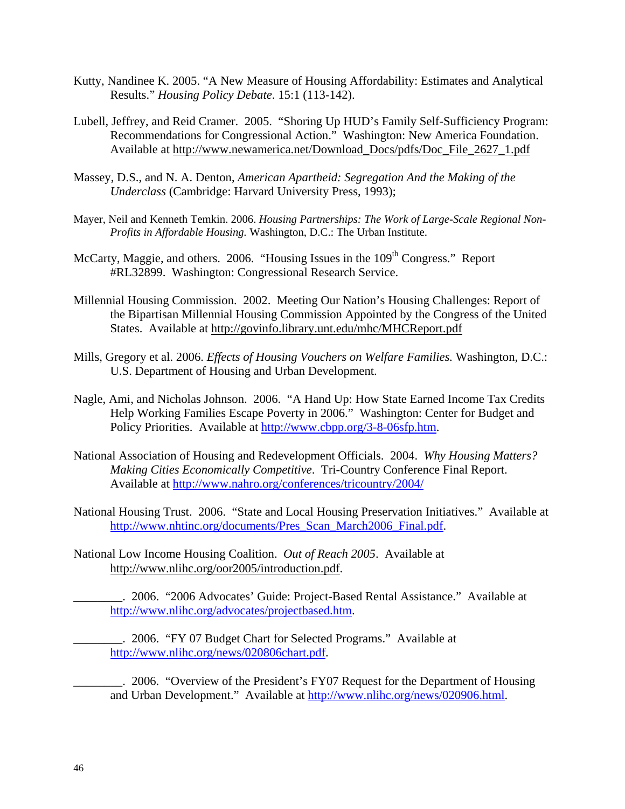- Kutty, Nandinee K. 2005. "A New Measure of Housing Affordability: Estimates and Analytical Results." *Housing Policy Debate*. 15:1 (113-142).
- Lubell, Jeffrey, and Reid Cramer. 2005. "Shoring Up HUD's Family Self-Sufficiency Program: Recommendations for Congressional Action." Washington: New America Foundation. Available at [http://www.newamerica.net/Download\\_Docs/pdfs/Doc\\_File\\_2627\\_1.pdf](http://www.newamerica.net/Download_Docs/pdfs/Doc_File_2627_1.pdf)
- Massey, D.S., and N. A. Denton, *American Apartheid: Segregation And the Making of the Underclass* (Cambridge: Harvard University Press, 1993);
- Mayer, Neil and Kenneth Temkin. 2006. *Housing Partnerships: The Work of Large-Scale Regional Non-Profits in Affordable Housing.* Washington, D.C.: The Urban Institute.
- McCarty, Maggie, and others. 2006. "Housing Issues in the 109<sup>th</sup> Congress." Report #RL32899. Washington: Congressional Research Service.
- Millennial Housing Commission. 2002. Meeting Our Nation's Housing Challenges: Report of the Bipartisan Millennial Housing Commission Appointed by the Congress of the United States. Available at<http://govinfo.library.unt.edu/mhc/MHCReport.pdf>
- Mills, Gregory et al. 2006. *Effects of Housing Vouchers on Welfare Families.* Washington, D.C.: U.S. Department of Housing and Urban Development.
- Nagle, Ami, and Nicholas Johnson. 2006. "A Hand Up: How State Earned Income Tax Credits Help Working Families Escape Poverty in 2006." Washington: Center for Budget and Policy Priorities. Available at [http://www.cbpp.org/3-8-06sfp.htm.](http://www.cbpp.org/3-8-06sfp.htm)
- National Association of Housing and Redevelopment Officials. 2004. *Why Housing Matters? Making Cities Economically Competitive*. Tri-Country Conference Final Report. Available at<http://www.nahro.org/conferences/tricountry/2004/>
- National Housing Trust. 2006. "State and Local Housing Preservation Initiatives." Available at [http://www.nhtinc.org/documents/Pres\\_Scan\\_March2006\\_Final.pdf](http://www.nhtinc.org/documents/Pres_Scan_March2006_Final.pdf).
- National Low Income Housing Coalition. *Out of Reach 2005*. Available at [http://www.nlihc.org/oor2005/introduction.pdf.](http://www.nlihc.org/oor2005/introduction.pdf)
	- \_\_\_\_\_\_\_\_. 2006. "2006 Advocates' Guide: Project-Based Rental Assistance." Available at [http://www.nlihc.org/advocates/projectbased.htm.](http://www.nlihc.org/advocates/projectbased.htm)
		- \_\_\_\_\_\_\_\_. 2006. "FY 07 Budget Chart for Selected Programs." Available at <http://www.nlihc.org/news/020806chart.pdf>.
	- \_\_\_\_\_\_\_\_. 2006. "Overview of the President's FY07 Request for the Department of Housing and Urban Development." Available at [http://www.nlihc.org/news/020906.html.](http://www.nlihc.org/news/020906.html)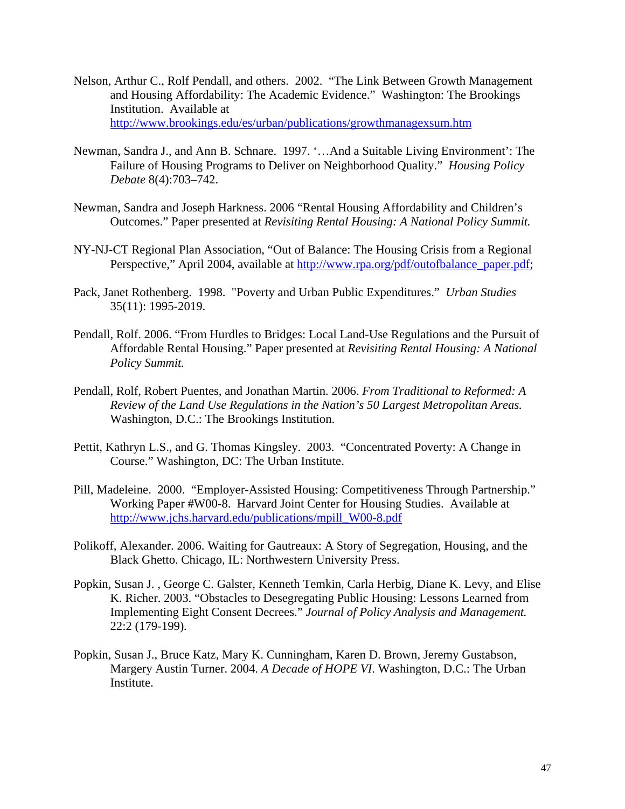- Nelson, Arthur C., Rolf Pendall, and others. 2002. "The Link Between Growth Management and Housing Affordability: The Academic Evidence." Washington: The Brookings Institution. Available at <http://www.brookings.edu/es/urban/publications/growthmanagexsum.htm>
- Newman, Sandra J., and Ann B. Schnare. 1997. '…And a Suitable Living Environment': The Failure of Housing Programs to Deliver on Neighborhood Quality." *Housing Policy Debate* 8(4):703–742.
- Newman, Sandra and Joseph Harkness. 2006 "Rental Housing Affordability and Children's Outcomes." Paper presented at *Revisiting Rental Housing: A National Policy Summit.*
- NY-NJ-CT Regional Plan Association, "Out of Balance: The Housing Crisis from a Regional Perspective," April 2004, available at [http://www.rpa.org/pdf/outofbalance\\_paper.pdf](http://www.rpa.org/pdf/outofbalance_paper.pdf);
- Pack, Janet Rothenberg. 1998. "Poverty and Urban Public Expenditures." *Urban Studies* 35(11): 1995-2019.
- Pendall, Rolf. 2006. "From Hurdles to Bridges: Local Land-Use Regulations and the Pursuit of Affordable Rental Housing." Paper presented at *Revisiting Rental Housing: A National Policy Summit.*
- Pendall, Rolf, Robert Puentes, and Jonathan Martin. 2006. *From Traditional to Reformed: A Review of the Land Use Regulations in the Nation's 50 Largest Metropolitan Areas.* Washington, D.C.: The Brookings Institution.
- Pettit, Kathryn L.S., and G. Thomas Kingsley. 2003. "Concentrated Poverty: A Change in Course." Washington, DC: The Urban Institute.
- Pill, Madeleine. 2000. "Employer-Assisted Housing: Competitiveness Through Partnership." Working Paper #W00-8. Harvard Joint Center for Housing Studies. Available at [http://www.jchs.harvard.edu/publications/mpill\\_W00-8.pdf](http://www.jchs.harvard.edu/publications/mpill_W00-8.pdf)
- Polikoff, Alexander. 2006. Waiting for Gautreaux: A Story of Segregation, Housing, and the Black Ghetto. Chicago, IL: Northwestern University Press.
- Popkin, Susan J. , George C. Galster, Kenneth Temkin, Carla Herbig, Diane K. Levy, and Elise K. Richer. 2003. "Obstacles to Desegregating Public Housing: Lessons Learned from Implementing Eight Consent Decrees." *Journal of Policy Analysis and Management.*  22:2 (179-199)*.*
- Popkin, Susan J., Bruce Katz, Mary K. Cunningham, Karen D. Brown, Jeremy Gustabson, Margery Austin Turner. 2004. *A Decade of HOPE VI*. Washington, D.C.: The Urban Institute.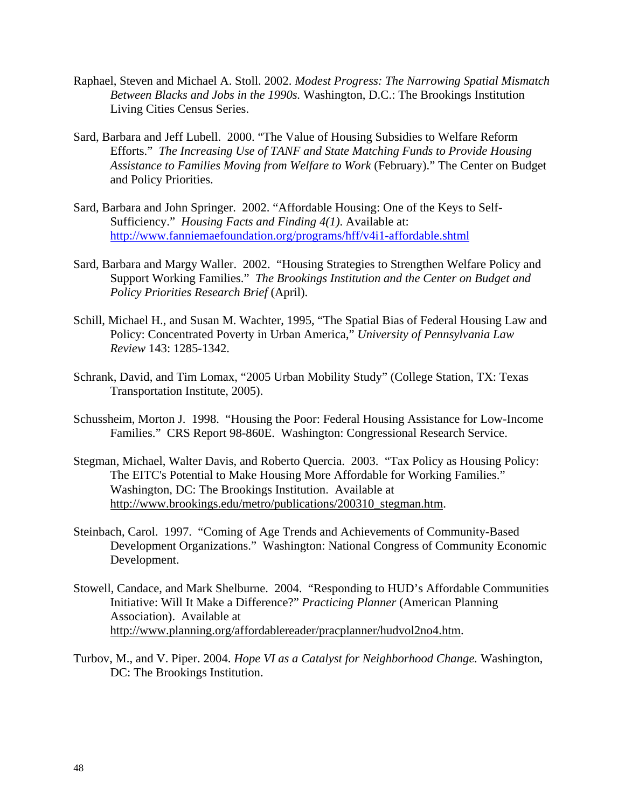- Raphael, Steven and Michael A. Stoll. 2002. *Modest Progress: The Narrowing Spatial Mismatch Between Blacks and Jobs in the 1990s.* Washington, D.C.: The Brookings Institution Living Cities Census Series.
- Sard, Barbara and Jeff Lubell. 2000. "The Value of Housing Subsidies to Welfare Reform Efforts." *The Increasing Use of TANF and State Matching Funds to Provide Housing Assistance to Families Moving from Welfare to Work* (February)." The Center on Budget and Policy Priorities.
- Sard, Barbara and John Springer. 2002. "Affordable Housing: One of the Keys to Self-Sufficiency." *Housing Facts and Finding 4(1)*. Available at: <http://www.fanniemaefoundation.org/programs/hff/v4i1-affordable.shtml>
- Sard, Barbara and Margy Waller. 2002. "Housing Strategies to Strengthen Welfare Policy and Support Working Families." *The Brookings Institution and the Center on Budget and Policy Priorities Research Brief* (April).
- Schill, Michael H., and Susan M. Wachter, 1995, "The Spatial Bias of Federal Housing Law and Policy: Concentrated Poverty in Urban America," *University of Pennsylvania Law Review* 143: 1285-1342.
- Schrank, David, and Tim Lomax, "2005 Urban Mobility Study" (College Station, TX: Texas Transportation Institute, 2005).
- Schussheim, Morton J. 1998. "Housing the Poor: Federal Housing Assistance for Low-Income Families." CRS Report 98-860E. Washington: Congressional Research Service.
- Stegman, Michael, Walter Davis, and Roberto Quercia. 2003. "Tax Policy as Housing Policy: The EITC's Potential to Make Housing More Affordable for Working Families." Washington, DC: The Brookings Institution. Available at [http://www.brookings.edu/metro/publications/200310\\_stegman.htm](http://www.brookings.edu/metro/publications/200310_stegman.htm).
- Steinbach, Carol. 1997. "Coming of Age Trends and Achievements of Community-Based Development Organizations." Washington: National Congress of Community Economic Development.
- Stowell, Candace, and Mark Shelburne. 2004. "Responding to HUD's Affordable Communities Initiative: Will It Make a Difference?" *Practicing Planner* (American Planning Association). Available at [http://www.planning.org/affordablereader/pracplanner/hudvol2no4.htm.](http://www.planning.org/affordablereader/pracplanner/hudvol2no4.htm)
- Turbov, M., and V. Piper. 2004. *Hope VI as a Catalyst for Neighborhood Change.* Washington, DC: The Brookings Institution.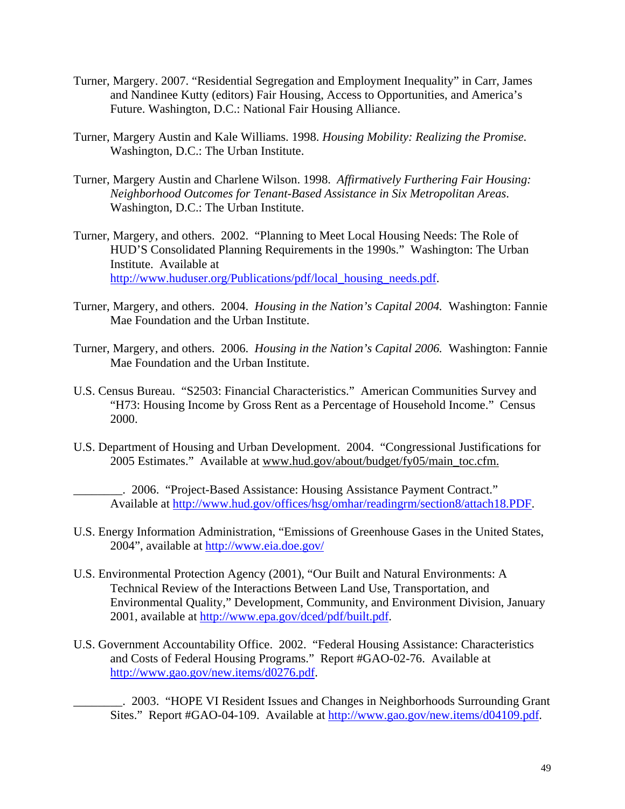- Turner, Margery. 2007. "Residential Segregation and Employment Inequality" in Carr, James and Nandinee Kutty (editors) Fair Housing, Access to Opportunities, and America's Future. Washington, D.C.: National Fair Housing Alliance.
- Turner, Margery Austin and Kale Williams. 1998. *Housing Mobility: Realizing the Promise.* Washington, D.C.: The Urban Institute.
- Turner, Margery Austin and Charlene Wilson. 1998. *Affirmatively Furthering Fair Housing: Neighborhood Outcomes for Tenant-Based Assistance in Six Metropolitan Areas*. Washington, D.C.: The Urban Institute.
- Turner, Margery, and others. 2002. "Planning to Meet Local Housing Needs: The Role of HUD'S Consolidated Planning Requirements in the 1990s." Washington: The Urban Institute. Available at [http://www.huduser.org/Publications/pdf/local\\_housing\\_needs.pdf.](http://www.huduser.org/Publications/pdf/local_housing_needs.pdf)
- Turner, Margery, and others. 2004. *Housing in the Nation's Capital 2004.* Washington: Fannie Mae Foundation and the Urban Institute.
- Turner, Margery, and others. 2006. *Housing in the Nation's Capital 2006.* Washington: Fannie Mae Foundation and the Urban Institute.
- U.S. Census Bureau. "S2503: Financial Characteristics." American Communities Survey and "H73: Housing Income by Gross Rent as a Percentage of Household Income." Census 2000.
- U.S. Department of Housing and Urban Development. 2004. "Congressional Justifications for 2005 Estimates." Available at www.hud.gov/about/budget/fy05/main\_toc.cfm.

. 2006. "Project-Based Assistance: Housing Assistance Payment Contract." Available at [http://www.hud.gov/offices/hsg/omhar/readingrm/section8/attach18.PDF.](http://www.hud.gov/offices/hsg/omhar/readingrm/section8/attach18.PDF)

- U.S. Energy Information Administration, "Emissions of Greenhouse Gases in the United States, 2004", available at<http://www.eia.doe.gov/>
- U.S. Environmental Protection Agency (2001), "Our Built and Natural Environments: A Technical Review of the Interactions Between Land Use, Transportation, and Environmental Quality," Development, Community, and Environment Division, January 2001, available at [http://www.epa.gov/dced/pdf/built.pdf.](http://www.epa.gov/dced/pdf/built.pdf)
- U.S. Government Accountability Office. 2002. "Federal Housing Assistance: Characteristics and Costs of Federal Housing Programs." Report #GAO-02-76. Available at [http://www.gao.gov/new.items/d0276.pdf.](http://www.gao.gov/new.items/d0276.pdf)

\_\_\_\_\_\_\_\_. 2003. "HOPE VI Resident Issues and Changes in Neighborhoods Surrounding Grant Sites." Report #GAO-04-109. Available at <http://www.gao.gov/new.items/d04109.pdf>.